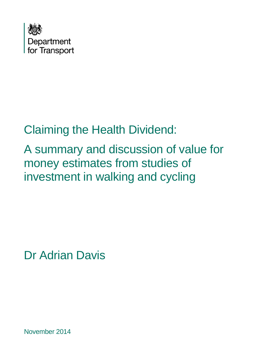

# Claiming the Health Dividend:

A summary and discussion of value for money estimates from studies of investment in walking and cycling

Dr Adrian Davis

November 2014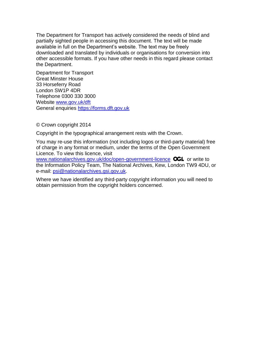The Department for Transport has actively considered the needs of blind and partially sighted people in accessing this document. The text will be made available in full on the Department's website. The text may be freely downloaded and translated by individuals or organisations for conversion into other accessible formats. If you have other needs in this regard please contact the Department.

Department for Transport Great Minster House 33 Horseferry Road London SW1P 4DR Telephone 0300 330 3000 Website [www.gov.uk/dft](http://www.gov.uk/dft) General enquiries [https://forms.dft.gov.uk](https://forms.dft.gov.uk/)

© Crown copyright 2014

Copyright in the typographical arrangement rests with the Crown.

You may re-use this information (not including logos or third-party material) free of charge in any format or medium, under the terms of the Open Government Licence. To view this licence, visit

[www.nationalarchives.gov.uk/doc/open-government-licence](http://www.nationalarchives.gov.uk/doc/open-government-licence) **OGL** or write to the Information Policy Team, The National Archives, Kew, London TW9 4DU, or e-mail: [psi@nationalarchives.gsi.gov.uk.](mailto:psi@nationalarchives.gsi.gov.uk)

Where we have identified any third-party copyright information you will need to obtain permission from the copyright holders concerned.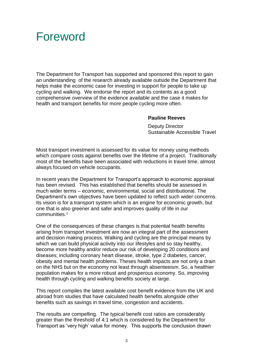## Foreword

The Department for Transport has supported and sponsored this report to gain an understanding of the research already available outside the Department that helps make the economic case for investing in support for people to take up cycling and walking. We endorse the report and its contents as a good comprehensive overview of the evidence available and the case it makes for health and transport benefits for more people cycling more often.

#### **Pauline Reeves**

 Deputy Director Sustainable Accessible Travel

Most transport investment is assessed for its value for money using methods which compare costs against benefits over the lifetime of a project. Traditionally most of the benefits have been associated with reductions in travel time, almost always focused on vehicle occupants.

In recent years the Department for Transport's approach to economic appraisal has been revised. This has established that benefits should be assessed in much wider terms – economic, environmental, social and distributional. The Department's own objectives have been updated to reflect such wider concerns. Its vision is for a transport system which is an engine for economic growth, but one that is also greener and safer and improves quality of life in our communities.<sup>1</sup>

One of the consequences of these changes is that potential health benefits arising from transport investment are now an integral part of the assessment and decision making process. Walking and cycling are the principal means by which we can build physical activity into our lifestyles and so stay healthy, become more healthy and/or reduce our risk of developing 20 conditions and diseases; including coronary heart disease, stroke, type 2 diabetes, cancer, obesity and mental health problems. Theses health impacts are not only a drain on the NHS but on the economy not least through absenteeism. So, a healthier population makes for a more robust and prosperous economy. So, improving health through cycling and walking benefits society at large.

This report compiles the latest available cost benefit evidence from the UK and abroad from studies that have calculated health benefits alongside other benefits such as savings in travel time, congestion and accidents.

The results are compelling. The typical benefit cost ratios are considerably greater than the threshold of 4:1 which is considered by the Department for Transport as 'very high' value for money. This supports the conclusion drawn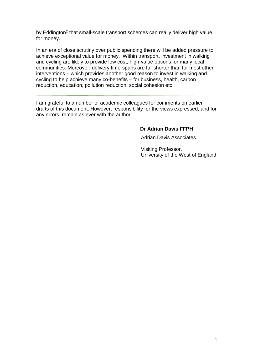by Eddington<sup>2</sup> that small-scale transport schemes can really deliver high value for money.

In an era of close scrutiny over public spending there will be added pressure to achieve exceptional value for money. Within transport, investment in walking and cycling are likely to provide low cost, high-value options for many local communities. Moreover, delivery time-spans are far shorter than for most other interventions – which provides another good reason to invest in walking and cycling to help achieve many co-benefits – for business, health, carbon reduction, education, pollution reduction, social cohesion etc.

I am grateful to a number of academic colleagues for comments on earlier drafts of this document. However, responsibility for the views expressed, and for any errors, remain as ever with the author.

#### **Dr Adrian Davis FFPH**

Adrian Davis Associates

Visiting Professor, University of the West of England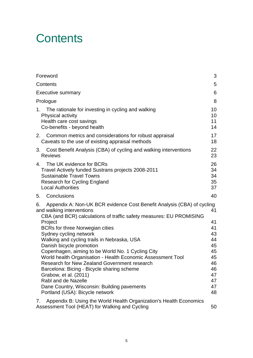## **Contents**

| Foreword                                                                                                                                                                                                                                                                                                                                                                                                                                                                                                   | 3                                                                          |
|------------------------------------------------------------------------------------------------------------------------------------------------------------------------------------------------------------------------------------------------------------------------------------------------------------------------------------------------------------------------------------------------------------------------------------------------------------------------------------------------------------|----------------------------------------------------------------------------|
| Contents                                                                                                                                                                                                                                                                                                                                                                                                                                                                                                   | 5                                                                          |
| <b>Executive summary</b>                                                                                                                                                                                                                                                                                                                                                                                                                                                                                   | 6                                                                          |
| Prologue                                                                                                                                                                                                                                                                                                                                                                                                                                                                                                   | 8                                                                          |
| The rationale for investing in cycling and walking<br>1.<br>Physical activity<br>Health care cost savings<br>Co-benefits - beyond health                                                                                                                                                                                                                                                                                                                                                                   | 10<br>10<br>11<br>14                                                       |
| 2.<br>Common metrics and considerations for robust appraisal<br>Caveats to the use of existing appraisal methods                                                                                                                                                                                                                                                                                                                                                                                           | 17<br>18                                                                   |
| Cost Benefit Analysis (CBA) of cycling and walking interventions<br>3.<br><b>Reviews</b>                                                                                                                                                                                                                                                                                                                                                                                                                   | 22<br>23                                                                   |
| The UK evidence for BCRs<br>4.<br>Travel Actively funded Sustrans projects 2008-2011<br><b>Sustainable Travel Towns</b><br><b>Research for Cycling England</b><br><b>Local Authorities</b>                                                                                                                                                                                                                                                                                                                 | 26<br>34<br>34<br>35<br>37                                                 |
| Conclusions<br>5.                                                                                                                                                                                                                                                                                                                                                                                                                                                                                          | 40                                                                         |
| Appendix A: Non-UK BCR evidence Cost Benefit Analysis (CBA) of cycling<br>6.<br>and walking interventions<br>CBA (and BCR) calculations of traffic safety measures: EU PROMISING                                                                                                                                                                                                                                                                                                                           | 41                                                                         |
| Project<br><b>BCRs for three Norwegian cities</b><br>Sydney cycling network<br>Walking and cycling trails in Nebraska, USA<br>Danish bicycle promotion<br>Copenhagen, aiming to be World No. 1 Cycling City<br>World health Organisation - Health Economic Assessment Tool<br>Research for New Zealand Government research<br>Barcelona: Bicing - Bicycle sharing scheme<br>Grabow, et al. (2011)<br>Rabl and de Nazelle<br>Dane Country, Wisconsin: Building pavements<br>Portland (USA): Bicycle network | 41<br>41<br>43<br>44<br>45<br>45<br>45<br>46<br>46<br>47<br>47<br>47<br>48 |
| Appendix B: Using the World Health Organization's Health Economics<br>7.<br>Assessment Tool (HEAT) for Walking and Cycling                                                                                                                                                                                                                                                                                                                                                                                 | 50                                                                         |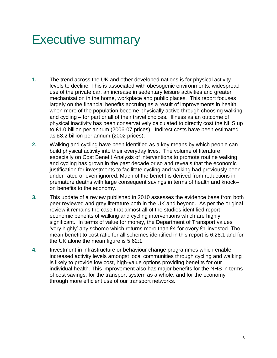## Executive summary

- **1.** The trend across the UK and other developed nations is for physical activity levels to decline. This is associated with obesogenic environments, widespread use of the private car, an increase in sedentary leisure activities and greater mechanisation in the home, workplace and public places. This report focuses largely on the financial benefits accruing as a result of improvements in health when more of the population become physically active through choosing walking and cycling – for part or all of their travel choices. Illness as an outcome of physical inactivity has been conservatively calculated to directly cost the NHS up to £1.0 billion per annum (2006-07 prices). Indirect costs have been estimated as £8.2 billion per annum (2002 prices).
- **2.** Walking and cycling have been identified as a key means by which people can build physical activity into their everyday lives. The volume of literature especially on Cost Benefit Analysis of interventions to promote routine walking and cycling has grown in the past decade or so and reveals that the economic justification for investments to facilitate cycling and walking had previously been under-rated or even ignored. Much of the benefit is derived from reductions in premature deaths with large consequent savings in terms of health and knock– on benefits to the economy.
- **3.** This update of a review published in 2010 assesses the evidence base from both peer reviewed and grey literature both in the UK and beyond. As per the original review it remains the case that almost all of the studies identified report economic benefits of walking and cycling interventions which are highly significant. In terms of value for money, the Department of Transport values 'very highly' any scheme which returns more than £4 for every £1 invested. The mean benefit to cost ratio for all schemes identified in this report is 6.28:1 and for the UK alone the mean figure is 5.62:1.
- **4.** Investment in infrastructure or behaviour change programmes which enable increased activity levels amongst local communities through cycling and walking is likely to provide low cost, high-value options providing benefits for our individual health. This improvement also has major benefits for the NHS in terms of cost savings, for the transport system as a whole, and for the economy through more efficient use of our transport networks.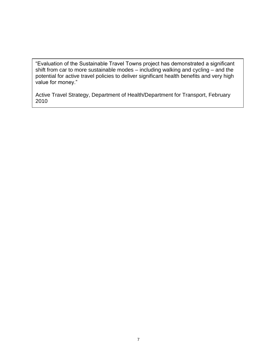"Evaluation of the Sustainable Travel Towns project has demonstrated a significant shift from car to more sustainable modes – including walking and cycling – and the potential for active travel policies to deliver significant health benefits and very high value for money."

Active Travel Strategy, Department of Health/Department for Transport, February 2010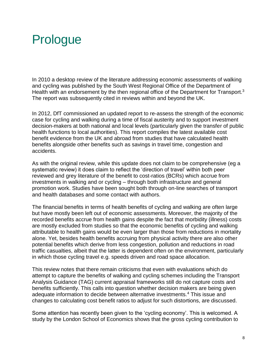## Prologue

In 2010 a desktop review of the literature addressing economic assessments of walking and cycling was published by the South West Regional Office of the Department of Health with an endorsement by the then regional office of the Department for Transport.<sup>3</sup> The report was subsequently cited in reviews within and beyond the UK.

In 2012, DfT commissioned an updated report to re-assess the strength of the economic case for cycling and walking during a time of fiscal austerity and to support investment decision-makers at both national and local levels (particularly given the transfer of public health functions to local authorities). This report compiles the latest available cost benefit evidence from the UK and abroad from studies that have calculated health benefits alongside other benefits such as savings in travel time, congestion and accidents.

As with the original review, while this update does not claim to be comprehensive (eg a systematic review) it does claim to reflect the 'direction of travel' within both peer reviewed and grey literature of the benefit to cost-ratios (BCRs) which accrue from investments in walking and or cycling – through both infrastructure and general promotion work. Studies have been sought both through on-line searches of transport and health databases and some contact with authors.

The financial benefits in terms of health benefits of cycling and walking are often large but have mostly been left out of economic assessments. Moreover, the majority of the recorded benefits accrue from health gains despite the fact that morbidity (illness) costs are mostly excluded from studies so that the economic benefits of cycling and walking attributable to health gains would be even larger than those from reductions in mortality alone. Yet, besides health benefits accruing from physical activity there are also other potential benefits which derive from less congestion, pollution and reductions in road traffic casualties, albeit that the latter is dependent often on the environment, particularly in which those cycling travel e.g. speeds driven and road space allocation.

This review notes that there remain criticisms that even with evaluations which do attempt to capture the benefits of walking and cycling schemes including the Transport Analysis Guidance (TAG) current appraisal frameworks still do not capture costs and benefits sufficiently. This calls into question whether decision makers are being given adequate information to decide between alternative investments.<sup>4</sup> This issue and changes to calculating cost benefit ratios to adjust for such distortions, are discussed.

Some attention has recently been given to the 'cycling economy'. This is welcomed. A study by the London School of Economics shows that the gross cycling contribution to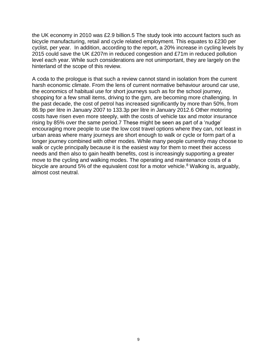the UK economy in 2010 was £2.9 billion.5 The study took into account factors such as bicycle manufacturing, retail and cycle related employment. This equates to £230 per cyclist, per year. In addition, according to the report, a 20% increase in cycling levels by 2015 could save the UK £207m in reduced congestion and £71m in reduced pollution level each year. While such considerations are not unimportant, they are largely on the hinterland of the scope of this review.

A coda to the prologue is that such a review cannot stand in isolation from the current harsh economic climate. From the lens of current normative behaviour around car use, the economics of habitual use for short journeys such as for the school journey, shopping for a few small items, driving to the gym, are becoming more challenging. In the past decade, the cost of petrol has increased significantly by more than 50%, from 86.9p per litre in January 2007 to 133.3p per litre in January 2012.6 Other motoring costs have risen even more steeply, with the costs of vehicle tax and motor insurance rising by 85% over the same period.7 These might be seen as part of a 'nudge' encouraging more people to use the low cost travel options where they can, not least in urban areas where many journeys are short enough to walk or cycle or form part of a longer journey combined with other modes. While many people currently may choose to walk or cycle principally because it is the easiest way for them to meet their access needs and then also to gain health benefits, cost is increasingly supporting a greater move to the cycling and walking modes. The operating and maintenance costs of a bicycle are around 5% of the equivalent cost for a motor vehicle.<sup>8</sup> Walking is, arquably, almost cost neutral.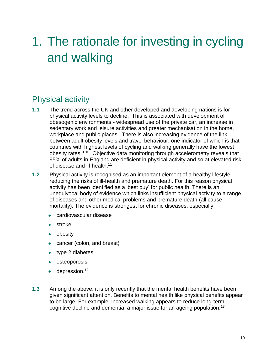# 1. The rationale for investing in cycling and walking

## Physical activity

- **1.1** The trend across the UK and other developed and developing nations is for physical activity levels to decline. This is associated with development of obesogenic environments - widespread use of the private car, an increase in sedentary work and leisure activities and greater mechanisation in the home, workplace and public places. There is also increasing evidence of the link between adult obesity levels and travel behaviour, one indicator of which is that countries with highest levels of cycling and walking generally have the lowest obesity rates.<sup>9 10</sup> Objective data monitoring through accelerometry reveals that 95% of adults in England are deficient in physical activity and so at elevated risk of disease and ill-health.<sup>11</sup>
- **1.2** Physical activity is recognised as an important element of a healthy lifestyle, reducing the risks of ill-health and premature death. For this reason physical activity has been identified as a 'best buy' for public health. There is an unequivocal body of evidence which links insufficient physical activity to a range of diseases and other medical problems and premature death (all causemortality). The evidence is strongest for chronic diseases, especially:
	- cardiovascular disease
	- stroke
	- obesity
	- cancer (colon, and breast)
	- type 2 diabetes
	- osteoporosis
	- $\bullet$  depression.<sup>12</sup>
- **1.3** Among the above, it is only recently that the mental health benefits have been given significant attention. Benefits to mental health like physical benefits appear to be large. For example, increased walking appears to reduce long-term cognitive decline and dementia, a major issue for an ageing population.13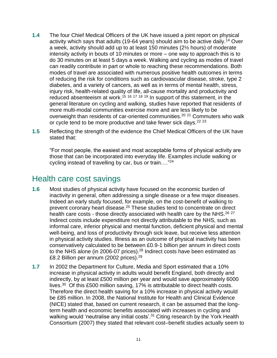- **1.4** The four Chief Medical Officers of the UK have issued a joint report on physical activity which says that adults (19-64 years) should aim to be active daily.<sup>14</sup> Over a week, activity should add up to at least 150 minutes (2½ hours) of moderate intensity activity in bouts of 10 minutes or more – one way to approach this is to do 30 minutes on at least 5 days a week. Walking and cycling as modes of travel can readily contribute in part or whole to reaching these recommendations. Both modes of travel are associated with numerous positive health outcomes in terms of reducing the risk for conditions such as cardiovascular disease, stroke, type 2 diabetes, and a variety of cancers, as well as in terms of mental health, stress, injury risk, health-related quality of life, all-cause mortality and productivity and reduced absenteeism at work.<sup>15 16 17 18 19</sup> In support of this statement, in the general literature on cycling and walking, studies have reported that residents of more multi-modal communities exercise more and are less likely to be overweight than residents of car-oriented communities.<sup>20</sup> <sup>21</sup> Commuters who walk or cycle tend to be more productive and take fewer sick days.<sup>22 23</sup>
- **1.5** Reflecting the strength of the evidence the Chief Medical Officers of the UK have stated that:

"For most people, the easiest and most acceptable forms of physical activity are those that can be incorporated into everyday life. Examples include walking or cycling instead of travelling by car, bus or train.…"<sup>24</sup>

#### Health care cost savings

- **1.6** Most studies of physical activity have focused on the economic burden of inactivity in general, often addressing a single disease or a few major diseases. Indeed an early study focused, for example, on the cost-benefit of walking to prevent coronary heart disease.<sup>25</sup> These studies tend to concentrate on direct health care costs - those directly associated with health care by the NHS.<sup>26 27</sup> Indirect costs include expenditure not directly attributable to the NHS, such as informal care, inferior physical and mental function, deficient physical and mental well-being, and loss of productivity through sick leave, but receive less attention in physical activity studies. Illness as an outcome of physical inactivity has been conservatively calculated to be between £0.9-1 billion per annum in direct costs to the NHS alone (in 2006-07 prices).<sup>28</sup> Indirect costs have been estimated as £8.2 Billion per annum (2002 prices).<sup>29</sup>
- **1.7** In 2002 the Department for Culture, Media and Sport estimated that a 10% increase in physical activity in adults would benefit England, both directly and indirectly, by at least £500 million per year and would save approximately 6000 lives. $30$  Of this £500 million saving, 17% is attributable to direct health costs. Therefore the direct health saving for a 10% increase in physical activity would be £85 million. In 2008, the National Institute for Health and Clinical Evidence (NICE) stated that, based on current research, it can be assumed that the longterm health and economic benefits associated with increases in cycling and walking would 'neutralise any initial costs'.<sup>31</sup> Citing research by the York Health Consortium (2007) they stated that relevant cost–benefit studies actually seem to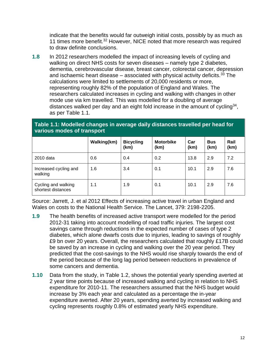indicate that the benefits would far outweigh initial costs, possibly by as much as 11 times more benefit.<sup>32</sup> However, NICE noted that more research was required to draw definite conclusions.

**1.8** In 2012 researchers modelled the impact of increasing levels of cycling and walking on direct NHS costs for seven diseases – namely type 2 diabetes, dementia, cerebrovascular disease, breast cancer, colorectal cancer, depression and ischaemic heart disease  $-$  associated with physical activity deficits.<sup>33</sup> The calculations were limited to settlements of 20,000 residents or more, representing roughly 82% of the population of England and Wales. The researchers calculated increases in cycling and walking with changes in other mode use via km travelled. This was modelled for a doubling of average distances walked per day and an eight fold increase in the amount of cycling<sup>34</sup>, as per Table 1.1.

#### **Table 1.1: Modelled changes in average daily distances travelled per head for various modes of transport**

|                                           | Walking(km) | <b>Bicycling</b><br>(km) | <b>Motorbike</b><br>(km) | Car<br>(km) | <b>Bus</b><br>(km) | Rail<br>(km) |
|-------------------------------------------|-------------|--------------------------|--------------------------|-------------|--------------------|--------------|
| 2010 data                                 | 0.6         | 0.4                      | 0.2                      | 13.8        | 2.9                | 7.2          |
| Increased cycling and<br>walking          | 1.6         | 3.4                      | 0.1                      | 10.1        | 2.9                | 7.6          |
| Cycling and walking<br>shortest distances | 1.1         | 1.9                      | 0.1                      | 10.1        | 2.9                | 7.6          |

Source: Jarrett, J. et al 2012 Effects of increasing active travel in urban England and Wales on costs to the National Health Service. The Lancet, 379: 2198-2205.

- **1.9** The health benefits of increased active transport were modelled for the period 2012-31 taking into account modelling of road traffic injuries. The largest cost savings came through reductions in the expected number of cases of type 2 diabetes, which alone dwarfs costs due to injuries, leading to savings of roughly £9 bn over 20 years. Overall, the researchers calculated that roughly £17B could be saved by an increase in cycling and walking over the 20 year period. They predicted that the cost-savings to the NHS would rise sharply towards the end of the period because of the long lag period between reductions in prevalence of some cancers and dementia.
- **1.10** Data from the study, in Table 1.2, shows the potential yearly spending averted at 2 year time points because of increased walking and cycling in relation to NHS expenditure for 2010-11. The researchers assumed that the NHS budget would increase by 3% each year and calculated as a percentage the in-year expenditure averted. After 20 years, spending averted by increased walking and cycling represents roughly 0.8% of estimated yearly NHS expenditure.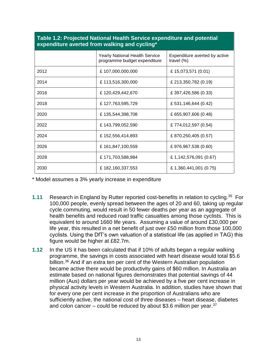|      | <b>Yearly National Health Service</b><br>programme budget expenditure | Expenditure averted by active<br>travel $(\%)$ |  |
|------|-----------------------------------------------------------------------|------------------------------------------------|--|
| 2012 | £107,000,000,000                                                      | £ 15,073,571 (0.01)                            |  |
| 2014 | £113,516,300,000                                                      | £ 213,350,782 (0.19)                           |  |
| 2016 | £120,429,442,670                                                      | £ 397,426,586 (0.33)                           |  |
| 2018 | £127,763,595,729                                                      | £531,146,644 (0.42)                            |  |
| 2020 | £135,544,398,708                                                      | £ 655,907,606 (0.48)                           |  |
| 2022 | £143,799,052,590                                                      | £774,012,597 (0.54)                            |  |
| 2024 | £152,556,414,893                                                      | £ 870,250,405 (0.57)                           |  |
| 2026 | £161,847,100,559                                                      | £ 976,967,538 (0.60)                           |  |
| 2028 | £171,703,588,984                                                      | £1,142,576,091 (0.67)                          |  |
| 2030 | £182,160,337,553                                                      | £1,360,441,001 (0.75)                          |  |

#### **Table 1.2: Projected National Health Service expenditure and potential expenditure averted from walking and cycling\***

\* Model assumes a 3% yearly increase in expenditure

- **1.11** Research in England by Rutter reported cost-benefits in relation to cycling.<sup>35</sup> For 100,000 people, evenly spread between the ages of 20 and 60, taking up regular cycle commuting, would result in 50 fewer deaths per year as an aggregate of health benefits and reduced road traffic casualties among those cyclists. This is equivalent to around 1660 life years. Assuming a value of around £30,000 per life year, this resulted in a net benefit of just over £50 million from those 100,000 cyclists. Using the DfT's own valuation of a statistical life (as applied in TAG) this figure would be higher at £82.7m.
- **1.12** In the US it has been calculated that if 10% of adults began a regular walking programme, the savings in costs associated with heart disease would total \$5.6 billion.<sup>36</sup> And if an extra ten per cent of the Western Australian population became active there would be productivity gains of \$60 million. In Australia an estimate based on national figures demonstrates that potential savings of 44 million (Aus) dollars per year would be achieved by a five per cent increase in physical activity levels in Western Australia. In addition, studies have shown that for every one per cent increase in the proportion of Australians who are sufficiently active, the national cost of three diseases – heart disease, diabetes and colon cancer – could be reduced by about \$3.6 million per year.  $37$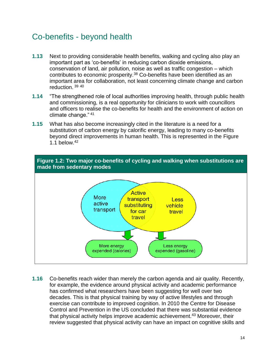#### Co-benefits - beyond health

- **1.13** Next to providing considerable health benefits, walking and cycling also play an important part as 'co-benefits' in reducing carbon dioxide emissions, conservation of land, air pollution, noise as well as traffic congestion – which contributes to economic prosperity.<sup>38</sup> Co-benefits have been identified as an important area for collaboration, not least concerning climate change and carbon reduction. <sup>39</sup> <sup>40</sup>
- **1.14** "The strengthened role of local authorities improving health, through public health and commissioning, is a real opportunity for clinicians to work with councillors and officers to realise the co-benefits for health and the environment of action on climate change." <sup>41</sup>
- **1.15** What has also become increasingly cited in the literature is a need for a substitution of carbon energy by calorific energy, leading to many co-benefits beyond direct improvements in human health. This is represented in the Figure 1.1 below. $42$





**1.16** Co-benefits reach wider than merely the carbon agenda and air quality. Recently, for example, the evidence around physical activity and academic performance has confirmed what researchers have been suggesting for well over two decades. This is that physical training by way of active lifestyles and through exercise can contribute to improved cognition. In 2010 the Centre for Disease Control and Prevention in the US concluded that there was substantial evidence that physical activity helps improve academic achievement.<sup>43</sup> Moreover, their review suggested that physical activity can have an impact on cognitive skills and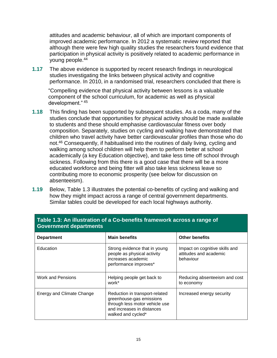attitudes and academic behaviour, all of which are important components of improved academic performance. In 2012 a systematic review reported that although there were few high quality studies the researchers found evidence that participation in physical activity is positively related to academic performance in young people.<sup>44</sup>

**1.17** The above evidence is supported by recent research findings in neurological studies investigating the links between physical activity and cognitive performance. In 2010, in a randomised trial, researchers concluded that there is

"Compelling evidence that physical activity between lessons is a valuable component of the school curriculum, for academic as well as physical development." <sup>45</sup>

- **1.18** This finding has been supported by subsequent studies. As a coda, many of the studies conclude that opportunities for physical activity should be made available to students and these should emphasise cardiovascular fitness over body composition. Separately, studies on cycling and walking have demonstrated that children who travel activity have better cardiovascular profiles than those who do not.<sup>46</sup> Consequently, if habitualised into the routines of daily living, cycling and walking among school children will help them to perform better at school academically (a key Education objective), and take less time off school through sickness. Following from this there is a good case that there will be a more educated workforce and being fitter will also take less sickness leave so contributing more to economic prosperity (see below for discussion on absenteeism).
- **1.19** Below, Table 1.3 illustrates the potential co-benefits of cycling and walking and how they might impact across a range of central government departments. Similar tables could be developed for each local highways authority.

| <b>Government departments</b> |                                                                                                                                                  |                                                                       |  |  |
|-------------------------------|--------------------------------------------------------------------------------------------------------------------------------------------------|-----------------------------------------------------------------------|--|--|
| <b>Department</b>             | <b>Main benefits</b>                                                                                                                             | <b>Other benefits</b>                                                 |  |  |
| Education                     | Strong evidence that in young<br>people as physical activity<br>increases academic<br>performance improves*                                      | Impact on cognitive skills and<br>attitudes and academic<br>behaviour |  |  |
| <b>Work and Pensions</b>      | Helping people get back to<br>work*                                                                                                              | Reducing absenteeism and cost<br>to economy                           |  |  |
| Energy and Climate Change     | Reduction in transport-related<br>greenhouse-gas emissions<br>through less motor vehicle use<br>and increases in distances<br>walked and cycled* | Increased energy security                                             |  |  |

## **Table 1.3: An illustration of a Co-benefits framework across a range of**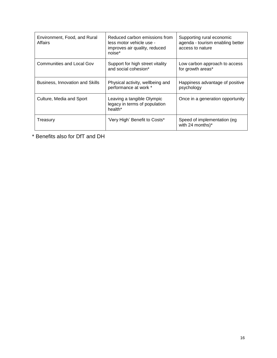| Environment, Food, and Rural<br>Affairs | Reduced carbon emissions from<br>less motor vehicle use -<br>improves air quality, reduced<br>noise* | Supporting rural economic<br>agenda - tourism enabling better<br>access to nature |
|-----------------------------------------|------------------------------------------------------------------------------------------------------|-----------------------------------------------------------------------------------|
| <b>Communities and Local Gov</b>        | Support for high street vitality<br>and social cohesion*                                             | Low carbon approach to access<br>for growth areas*                                |
| Business, Innovation and Skills         | Physical activity, wellbeing and<br>performance at work *                                            | Happiness advantage of positive<br>psychology                                     |
| Culture, Media and Sport                | Leaving a tangible Olympic<br>legacy in terms of population<br>health <sup>*</sup>                   | Once in a generation opportunity                                                  |
| Treasury                                | 'Very High' Benefit to Costs*                                                                        | Speed of implementation (eg<br>with 24 months)*                                   |

\* Benefits also for DfT and DH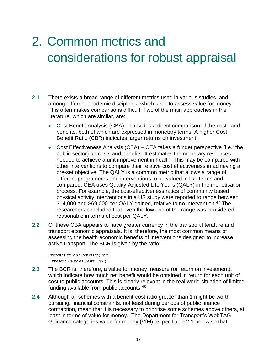# 2. Common metrics and considerations for robust appraisal

- **2.1** There exists a broad range of different metrics used in various studies, and among different academic disciplines, which seek to assess value for money. This often makes comparisons difficult. Two of the main approaches in the literature, which are similar, are:
	- Cost Benefit Analysis (CBA) Provides a direct comparison of the costs and benefits, both of which are expressed in monetary terms. A higher Cost-Benefit Ratio (CBR) indicates larger returns on investment.
	- Cost Effectiveness Analysis (CEA) CEA takes a funder perspective (i.e.: the public sector) on costs and benefits. It estimates the monetary resources needed to achieve a unit improvement in health. This may be compared with other interventions to compare their relative cost effectiveness in achieving a pre-set objective. The QALY is a common metric that allows a range of different programmes and interventions to be valued in like terms and compared. CEA uses Quality-Adjusted Life Years (QALY) in the monetisation process. For example, the cost-effectiveness ratios of community based physical activity interventions in a US study were reported to range between \$14,000 and \$69,000 per QALY gained, relative to no intervention.<sup>47</sup> The researchers concluded that even the low end of the range was considered reasonable in terms of cost per QALY.
- **2.2** Of these CBA appears to have greater currency in the transport literature and transport economic appraisals. It is, therefore, the most common means of assessing the health economic benefits of interventions designed to increase active transport. The BCR is given by the ratio:

Present Value of Benefits (PVB) Present Value of Costs (PVC)

- **2.3** The BCR is, therefore, a value for money measure (or return on investment), which indicate how much net benefit would be obtained in return for each unit of cost to public accounts. This is clearly relevant in the real world situation of limited funding available from public accounts.<sup>48</sup>
- **2.4** Although all schemes with a benefit-cost ratio greater than 1 might be worth pursuing, financial constraints, not least during periods of public finance contraction, mean that it is necessary to prioritise some schemes above others, at least in terms of value for money. The Department for Transport's WebTAG Guidance categories value for money (VfM) as per Table 2.1 below so that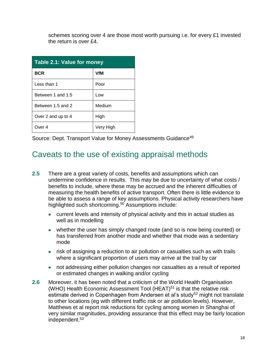schemes scoring over 4 are those most worth pursuing i.e. for every £1 invested the return is over £4.

| Table 2.1: Value for money |           |  |
|----------------------------|-----------|--|
| <b>BCR</b>                 | VfM       |  |
| Less than 1                | Poor      |  |
| Between 1 and 1.5          | Low       |  |
| Between 1.5 and 2          | Medium    |  |
| Over 2 and up to 4         | High      |  |
| Over 4                     | Very High |  |

Source: Dept. Transport Value for Money Assessments Guidance<sup>49</sup>

#### Caveats to the use of existing appraisal methods

- **2.5** There are a great variety of costs, benefits and assumptions which can undermine confidence in results. This may be due to uncertainty of what costs / benefits to include, where these may be accrued and the inherent difficulties of measuring the health benefits of active transport. Often there is little evidence to be able to assess a range of key assumptions. Physical activity researchers have highlighted such shortcoming.<sup>50</sup> Assumptions include:
	- current levels and intensity of physical activity and this in actual studies as well as in modelling
	- whether the user has simply changed route (and so is now being counted) or has transferred from another mode and whether that mode was a sedentary mode
	- risk of assigning a reduction to air pollution or casualties such as with trails where a significant proportion of users may arrive at the trail by car
	- not addressing either pollution changes nor casualties as a result of reported or estimated changes in walking and/or cycling
- **2.6** Moreover, it has been noted that a criticism of the World Health Organisation (WHO) Health Economic Assessment Tool (HEAT)<sup>51</sup> is that the relative risk estimate derived in Copenhagen from Andersen et al's study<sup>52</sup> might not translate to other locations (eg with different traffic risk or air pollution levels). However, Matthews et al report risk reductions for cycling among women in Shanghai of very similar magnitudes, providing assurance that this effect may be fairly location independent.53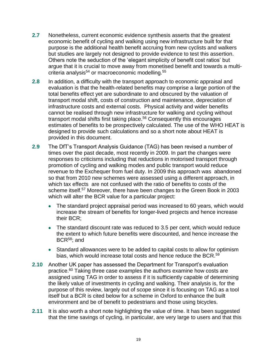- **2.7** Nonetheless, current economic evidence synthesis asserts that the greatest economic benefit of cycling and walking using new infrastructure built for that purpose is the additional health benefit accruing from new cyclists and walkers but studies are largely not designed to provide evidence to test this assertion. Others note the seduction of the 'elegant simplicity of benefit cost ratios' but argue that it is crucial to move away from monetised benefit and towards a multicriteria analysis<sup>54</sup> or macroeconomic modelling.<sup>55</sup>
- **2.8** In addition, a difficulty with the transport approach to economic appraisal and evaluation is that the health-related benefits may comprise a large portion of the total benefits effect yet are subordinate to and obscured by the valuation of transport modal shift, costs of construction and maintenance, depreciation of infrastructure costs and external costs. Physical activity and wider benefits cannot be realised through new infrastructure for walking and cycling without transport modal shifts first taking place.<sup>56</sup> Consequently this encourages estimates of benefits to be prospectively calculated. The use of the WHO HEAT is designed to provide such calculations and so a short note about HEAT is provided in this document.
- **2.9** The DfT's Transport Analysis Guidance (TAG) has been revised a number of times over the past decade, most recently in 2009. In part the changes were responses to criticisms including that reductions in motorised transport through promotion of cycling and walking modes and public transport would reduce revenue to the Exchequer from fuel duty. In 2009 this approach was abandoned so that from 2010 new schemes were assessed using a different approach, in which tax effects are not confused with the ratio of benefits to costs of the scheme itself.<sup>57</sup> Moreover, there have been changes to the Green Book in 2003 which will alter the BCR value for a particular project:
	- The standard project appraisal period was increased to 60 years, which would increase the stream of benefits for longer-lived projects and hence increase their BCR;
	- The standard discount rate was reduced to 3.5 per cent, which would reduce the extent to which future benefits were discounted, and hence increase the BCR<sup>58</sup>; and
	- Standard allowances were to be added to capital costs to allow for optimism bias, which would increase total costs and hence reduce the BCR.<sup>59</sup>
- **2.10** Another UK paper has assessed the Department for Transport's evaluation practice.<sup>60</sup> Taking three case examples the authors examine how costs are assigned using TAG in order to assess if it is sufficiently capable of determining the likely value of investments in cycling and walking. Their analysis is, for the purpose of this review, largely out of scope since it is focusing on TAG as a tool itself but a BCR is cited below for a scheme in Oxford to enhance the built environment and be of benefit to pedestrians and those using bicycles.
- **2.11** It is also worth a short note highlighting the value of time. It has been suggested that the time savings of cycling, in particular, are very large to users and that this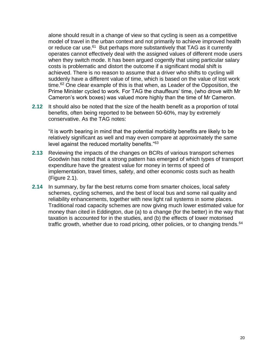alone should result in a change of view so that cycling is seen as a competitive model of travel in the urban context and not primarily to achieve improved health or reduce car use.<sup>61</sup> But perhaps more substantively that TAG as it currently operates cannot effectively deal with the assigned values of different mode users when they switch mode. It has been argued cogently that using particular salary costs is problematic and distort the outcome if a significant modal shift is achieved. There is no reason to assume that a driver who shifts to cycling will suddenly have a different value of time, which is based on the value of lost work time.<sup>62</sup> One clear example of this is that when, as Leader of the Opposition, the Prime Minister cycled to work. For TAG the chauffeurs' time, (who drove with Mr Cameron's work boxes) was valued more highly than the time of Mr Cameron.

**2.12** It should also be noted that the size of the health benefit as a proportion of total benefits, often being reported to be between 50-60%, may by extremely conservative. As the TAG notes:

"it is worth bearing in mind that the potential morbidity benefits are likely to be relatively significant as well and may even compare at approximately the same level against the reduced mortality benefits."<sup>63</sup>

- **2.13** Reviewing the impacts of the changes on BCRs of various transport schemes Goodwin has noted that a strong pattern has emerged of which types of transport expenditure have the greatest value for money in terms of speed of implementation, travel times, safety, and other economic costs such as health (Figure 2.1).
- **2.14** In summary, by far the best returns come from smarter choices, local safety schemes, cycling schemes, and the best of local bus and some rail quality and reliability enhancements, together with new light rail systems in some places. Traditional road capacity schemes are now giving much lower estimated value for money than cited in Eddington, due (a) to a change (for the better) in the way that taxation is accounted for in the studies, and (b) the effects of lower motorised traffic growth, whether due to road pricing, other policies, or to changing trends.<sup>64</sup>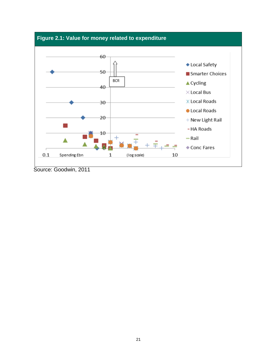

Source: Goodwin, 2011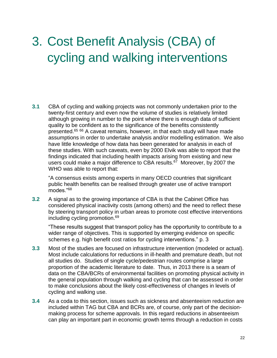# 3. Cost Benefit Analysis (CBA) of cycling and walking interventions

**3.1** CBA of cycling and walking projects was not commonly undertaken prior to the twenty-first century and even now the volume of studies is relatively limited although growing in number to the point where there is enough data of sufficient quality to be confident as to the significance of the benefits consistently presented.<sup>65 66</sup> A caveat remains, however, in that each study will have made assumptions in order to undertake analysis and/or modelling estimation. We also have little knowledge of how data has been generated for analysis in each of these studies. With such caveats, even by 2000 Elvik was able to report that the findings indicated that including health impacts arising from existing and new users could make a major difference to CBA results.<sup>67</sup> Moreover, by 2007 the WHO was able to report that:

"A consensus exists among experts in many OECD countries that significant public health benefits can be realised through greater use of active transport modes."<sup>68</sup>

**3.2** A signal as to the growing importance of CBA is that the Cabinet Office has considered physical inactivity costs (among others) and the need to reflect these by steering transport policy in urban areas to promote cost effective interventions including cycling promotion.<sup>69</sup>

"These results suggest that transport policy has the opportunity to contribute to a wider range of objectives. This is supported by emerging evidence on specific schemes e.g. high benefit cost ratios for cycling interventions." p. 3

- **3.3** Most of the studies are focused on infrastructure intervention (modeled or actual). Most include calculations for reductions in ill-health and premature death, but not all studies do. Studies of single cycle/pedestrian routes comprise a large proportion of the academic literature to date. Thus, in 2013 there is a seam of data on the CBA/BCRs of environmental facilities on promoting physical activity in the general population through walking and cycling that can be assessed in order to make conclusions about the likely cost-effectiveness of changes in levels of cycling and walking use.
- **3.4** As a coda to this section, issues such as sickness and absenteeism reduction are included within TAG but CBA and BCRs are, of course, only part of the decisionmaking process for scheme approvals. In this regard reductions in absenteeism can play an important part in economic growth terms through a reduction in costs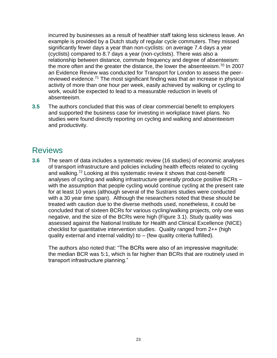incurred by businesses as a result of healthier staff taking less sickness leave. An example is provided by a Dutch study of regular cycle commuters. They missed significantly fewer days a year than non-cyclists: on average 7.4 days a year (cyclists) compared to 8.7 days a year (non-cyclists). There was also a relationship between distance, commute frequency and degree of absenteeism: the more often and the greater the distance, the lower the absenteeism.<sup>70</sup> In 2007 an Evidence Review was conducted for Transport for London to assess the peerreviewed evidence.<sup>71</sup> The most significant finding was that an increase in physical activity of more than one hour per week, easily achieved by walking or cycling to work, would be expected to lead to a measurable reduction in levels of absenteeism.

**3.5** The authors concluded that this was of clear commercial benefit to employers and supported the business case for investing in workplace travel plans. No studies were found directly reporting on cycling and walking and absenteeism and productivity.

#### Reviews

**3.6** The seam of data includes a systematic review (16 studies) of economic analyses of transport infrastructure and policies including health effects related to cycling and walking.<sup>72</sup> Looking at this systematic review it shows that cost-benefit analyses of cycling and walking infrastructure generally produce positive BCRs – with the assumption that people cycling would continue cycling at the present rate for at least 10 years (although several of the Sustrans studies were conducted with a 30 year time span). Although the researchers noted that these should be treated with caution due to the diverse methods used, nonetheless, it could be concluded that of sixteen BCRs for various cycling/walking projects, only one was negative, and the size of the BCRs were high (Figure 3.1). Study quality was assessed against the National Institute for Health and Clinical Excellence (NICE) checklist for quantitative intervention studies. Quality ranged from 2++ (high quality external and internal validity) to – (few quality criteria fulfilled).

The authors also noted that: "The BCRs were also of an impressive magnitude: the median BCR was 5:1, which is far higher than BCRs that are routinely used in transport infrastructure planning."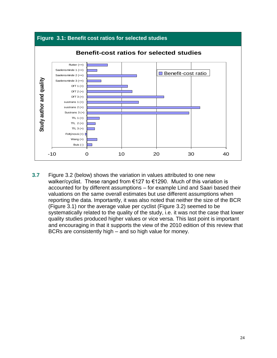

**3.7** Figure 3.2 (below) shows the variation in values attributed to one new walker/cyclist. These ranged from €127 to €1290. Much of this variation is accounted for by different assumptions – for example Lind and Saari based their valuations on the same overall estimates but use different assumptions when reporting the data. Importantly, it was also noted that neither the size of the BCR (Figure 3.1) nor the average value per cyclist (Figure 3.2) seemed to be systematically related to the quality of the study, i.e. it was not the case that lower quality studies produced higher values or vice versa. This last point is important and encouraging in that it supports the view of the 2010 edition of this review that BCRs are consistently high – and so high value for money.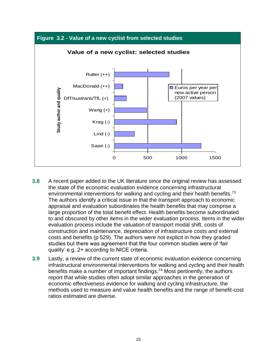

- **3.8** A recent paper added to the UK literature since the original review has assessed the state of the economic evaluation evidence concerning infrastructural environmental interventions for walking and cycling and their health benefits.<sup>73</sup> The authors identify a critical issue in that the transport approach to economic appraisal and evaluation subordinates the health benefits that may comprise a large proportion of the total benefit effect. Health benefits become subordinated to and obscured by other items in the wider evaluation process. Items in the wider evaluation process include the valuation of transport modal shift, costs of construction and maintenance, depreciation of infrastructure costs and external costs and benefits (p 529). The authors were not explicit in how they graded studies but there was agreement that the four common studies were of 'fair quality' e.g. 2+ according to NICE criteria.
- **3.9** Lastly, a review of the current state of economic evaluation evidence concerning infrastructural environmental interventions for walking and cycling and their health benefits make a number of important findings.<sup>74</sup> Most pertinently, the authors report that while studies often adopt similar approaches in the generation of economic effectiveness evidence for walking and cycling infrastructure, the methods used to measure and value health benefits and the range of benefit-cost ratios estimated are diverse.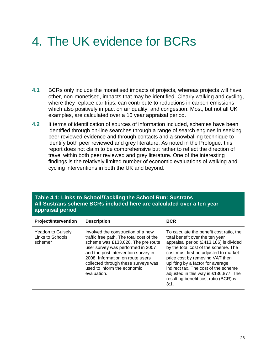## 4. The UK evidence for BCRs

- **4.1** BCRs only include the monetised impacts of projects, whereas projects will have other, non-monetised, impacts that may be identified. Clearly walking and cycling, where they replace car trips, can contribute to reductions in carbon emissions which also positively impact on air quality, and congestion. Most, but not all UK examples, are calculated over a 10 year appraisal period.
- **4.2** It terms of identification of sources of information included, schemes have been identified through on-line searches through a range of search engines in seeking peer reviewed evidence and through contacts and a snowballing technique to identify both peer reviewed and grey literature. As noted in the Prologue, this report does not claim to be comprehensive but rather to reflect the direction of travel within both peer reviewed and grey literature. One of the interesting findings is the relatively limited number of economic evaluations of walking and cycling interventions in both the UK and beyond.

| appraisal period | Table 4.1: Links to School/Tackling the School Run: Sustrans<br>All Sustrans scheme BCRs included here are calculated over a ten year |  |
|------------------|---------------------------------------------------------------------------------------------------------------------------------------|--|
|                  |                                                                                                                                       |  |

| <b>Project/Intervention</b>                      | <b>Description</b>                                                                                                                                                                                                                                                                                                        | <b>BCR</b>                                                                                                                                                                                                                                                                                                                                                                                                       |
|--------------------------------------------------|---------------------------------------------------------------------------------------------------------------------------------------------------------------------------------------------------------------------------------------------------------------------------------------------------------------------------|------------------------------------------------------------------------------------------------------------------------------------------------------------------------------------------------------------------------------------------------------------------------------------------------------------------------------------------------------------------------------------------------------------------|
| Yeadon to Guisely<br>Links to Schools<br>scheme* | Involved the construction of a new<br>traffic free path. The total cost of the<br>scheme was £133,028. The pre route<br>user survey was performed in 2007<br>and the post intervention survey in<br>2008. Information on route users<br>collected through these surveys was<br>used to inform the economic<br>evaluation. | To calculate the benefit cost ratio, the<br>total benefit over the ten year<br>appraisal period (£413,186) is divided<br>by the total cost of the scheme. The<br>cost must first be adjusted to market<br>price cost by removing VAT then<br>uplifting by a factor for average<br>indirect tax. The cost of the scheme<br>adjusted in this way is £136,877. The<br>resulting benefit cost ratio (BCR) is<br>3:1. |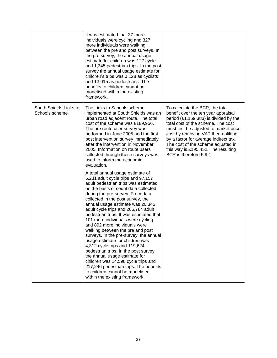|                                          | It was estimated that 37 more<br>individuals were cycling and 327<br>more individuals were walking<br>between the pre and post surveys. In<br>the pre survey, the annual usage<br>estimate for children was 127 cycle<br>and 1,345 pedestrian trips. In the post<br>survey the annual usage estimate for<br>children's trips was 3,128 as cyclists<br>and 13,015 as pedestrians. The<br>benefits to children cannot be<br>monetised within the existing<br>framework.                                                                                                                                                                                                                                                                                                                                        |                                                                                                                                                                                                                                                                                                                                                                                         |
|------------------------------------------|--------------------------------------------------------------------------------------------------------------------------------------------------------------------------------------------------------------------------------------------------------------------------------------------------------------------------------------------------------------------------------------------------------------------------------------------------------------------------------------------------------------------------------------------------------------------------------------------------------------------------------------------------------------------------------------------------------------------------------------------------------------------------------------------------------------|-----------------------------------------------------------------------------------------------------------------------------------------------------------------------------------------------------------------------------------------------------------------------------------------------------------------------------------------------------------------------------------------|
| South Shields Links to<br>Schools scheme | The Links to Schools scheme<br>implemented at South Shields was an<br>urban road adjacent route. The total<br>cost of the scheme was £189,956.<br>The pre route user survey was<br>performed in June 2005 and the first<br>post intervention survey immediately<br>after the intervention in November<br>2005. Information on route users<br>collected through these surveys was<br>used to inform the economic<br>evaluation.                                                                                                                                                                                                                                                                                                                                                                               | To calculate the BCR, the total<br>benefit over the ten year appraisal<br>period (£1,159,383) is divided by the<br>total cost of the scheme. The cost<br>must first be adjusted to market price<br>cost by removing VAT then uplifting<br>by a factor for average indirect tax.<br>The cost of the scheme adjusted in<br>this way is £195,452. The resulting<br>BCR is therefore 5.9:1. |
|                                          | A total annual usage estimate of<br>6,231 adult cycle trips and 97,157<br>adult pedestrian trips was estimated<br>on the basis of count data collected<br>during the pre-survey. From data<br>collected in the post survey, the<br>annual usage estimate was 20,345<br>adult cycle trips and 206,784 adult<br>pedestrian trips. It was estimated that<br>101 more individuals were cycling<br>and 892 more individuals were<br>walking between the pre and post<br>surveys. In the pre-survey, the annual<br>usage estimate for children was<br>4,312 cycle trips and 119,624<br>pedestrian trips. In the post survey<br>the annual usage estimate for<br>children was 14,598 cycle trips and<br>217,246 pedestrian trips. The benefits<br>to children cannot be monetised<br>within the existing framework. |                                                                                                                                                                                                                                                                                                                                                                                         |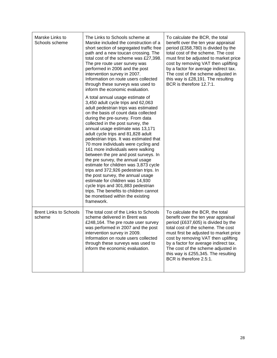| Marske Links to<br>Schools scheme       | The Links to Schools scheme at<br>Marske included the construction of a<br>short section of segregated traffic free<br>path and a new toucan crossing. The<br>total cost of the scheme was £27,398.<br>The pre route user survey was<br>performed in 2006 and the post<br>intervention survey in 2007.<br>Information on route users collected<br>through these surveys was used to<br>inform the economic evaluation.                                                                                                                                                                                                                                                                                                                                                                                      | To calculate the BCR, the total<br>benefit over the ten year appraisal<br>period (£358,780) is divided by the<br>total cost of the scheme. The cost<br>must first be adjusted to market price<br>cost by removing VAT then uplifting<br>by a factor for average indirect tax.<br>The cost of the scheme adjusted in<br>this way is £28,191. The resulting<br>BCR is therefore 12.7:1. |
|-----------------------------------------|-------------------------------------------------------------------------------------------------------------------------------------------------------------------------------------------------------------------------------------------------------------------------------------------------------------------------------------------------------------------------------------------------------------------------------------------------------------------------------------------------------------------------------------------------------------------------------------------------------------------------------------------------------------------------------------------------------------------------------------------------------------------------------------------------------------|---------------------------------------------------------------------------------------------------------------------------------------------------------------------------------------------------------------------------------------------------------------------------------------------------------------------------------------------------------------------------------------|
|                                         | A total annual usage estimate of<br>3,450 adult cycle trips and 62,063<br>adult pedestrian trips was estimated<br>on the basis of count data collected<br>during the pre-survey. From data<br>collected in the post survey, the<br>annual usage estimate was 13,171<br>adult cycle trips and 81,828 adult<br>pedestrian trips. It was estimated that<br>70 more individuals were cycling and<br>161 more individuals were walking<br>between the pre and post surveys. In<br>the pre survey, the annual usage<br>estimate for children was 3,873 cycle<br>trips and 372,926 pedestrian trips. In<br>the post survey, the annual usage<br>estimate for children was 14,930<br>cycle trips and 301,883 pedestrian<br>trips. The benefits to children cannot<br>be monetised within the existing<br>framework. |                                                                                                                                                                                                                                                                                                                                                                                       |
| <b>Brent Links to Schools</b><br>scheme | The total cost of the Links to Schools<br>scheme delivered in Brent was<br>£248,164. The pre route user survey<br>was performed in 2007 and the post<br>intervention survey in 2009.<br>Information on route users collected<br>through these surveys was used to<br>inform the economic evaluation.                                                                                                                                                                                                                                                                                                                                                                                                                                                                                                        | To calculate the BCR, the total<br>benefit over the ten year appraisal<br>period (£637,605) is divided by the<br>total cost of the scheme. The cost<br>must first be adjusted to market price<br>cost by removing VAT then uplifting<br>by a factor for average indirect tax.<br>The cost of the scheme adjusted in<br>this way is £255,345. The resulting<br>BCR is therefore 2.5:1. |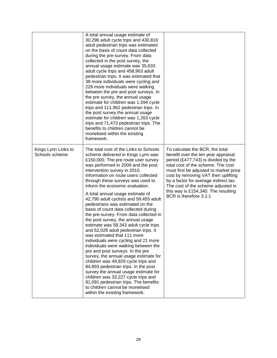|                                       | A total annual usage estimate of<br>30,296 adult cycle trips and 430,816<br>adult pedestrian trips was estimated<br>on the basis of count data collected<br>during the pre-survey. From data<br>collected in the post survey, the<br>annual usage estimate was 35,633<br>adult cycle trips and 458,963 adult<br>pedestrian trips. It was estimated that<br>38 more individuals were cycling and<br>229 more individuals were walking<br>between the pre and post surveys. In<br>the pre survey, the annual usage<br>estimate for children was 1,594 cycle<br>trips and 111,962 pedestrian trips. In<br>the post survey the annual usage<br>estimate for children was 1,263 cycle<br>trips and 71,473 pedestrian trips. The<br>benefits to children cannot be<br>monetised within the existing<br>framework.                                                                                                                                                                                                                                                                                                  |                                                                                                                                                                                                                                                                                                                                                                                      |
|---------------------------------------|--------------------------------------------------------------------------------------------------------------------------------------------------------------------------------------------------------------------------------------------------------------------------------------------------------------------------------------------------------------------------------------------------------------------------------------------------------------------------------------------------------------------------------------------------------------------------------------------------------------------------------------------------------------------------------------------------------------------------------------------------------------------------------------------------------------------------------------------------------------------------------------------------------------------------------------------------------------------------------------------------------------------------------------------------------------------------------------------------------------|--------------------------------------------------------------------------------------------------------------------------------------------------------------------------------------------------------------------------------------------------------------------------------------------------------------------------------------------------------------------------------------|
| Kings Lynn Links to<br>Schools scheme | The total cost of the Links to Schools<br>scheme delivered in Kings Lynn was<br>£150,000. The pre route user survey<br>was performed in 2009 and the post<br>intervention survey in 2010.<br>Information on route users collected<br>through these surveys was used to<br>inform the economic evaluation.<br>A total annual usage estimate of<br>42,790 adult cyclists and 59,455 adult<br>pedestrians was estimated on the<br>basis of count data collected during<br>the pre-survey. From data collected in<br>the post survey, the annual usage<br>estimate was 58,343 adult cycle trips<br>and 62,026 adult pedestrian trips. It<br>was estimated that 111 more<br>individuals were cycling and 21 more<br>individuals were walking between the<br>pre and post surveys. In the pre<br>survey, the annual usage estimate for<br>children was 49,929 cycle trips and<br>84,893 pedestrian trips. In the post<br>survey the annual usage estimate for<br>children was 33,227 cycle trips and<br>91,091 pedestrian trips. The benefits<br>to children cannot be monetised<br>within the existing framework. | To calculate the BCR, the total<br>benefit over the ten year appraisal<br>period (£477,743) is divided by the<br>total cost of the scheme. The cost<br>must first be adjusted to market price<br>cost by removing VAT then uplifting<br>by a factor for average indirect tax.<br>The cost of the scheme adjusted in<br>this way is £154,340. The resulting<br>BCR is therefore 3.1:1 |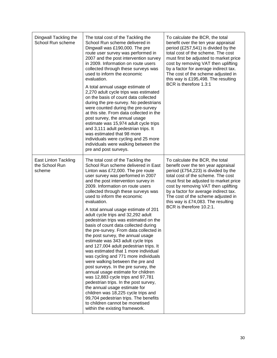| Dingwall Tackling the<br>School Run scheme              | The total cost of the Tackling the<br>School Run scheme delivered in<br>Dingwall was £190,000. The pre<br>route user survey was performed in<br>2007 and the post intervention survey<br>in 2009. Information on route users<br>collected through these surveys was<br>used to inform the economic<br>evaluation.<br>A total annual usage estimate of<br>2,270 adult cycle trips was estimated<br>on the basis of count data collected<br>during the pre-survey. No pedestrians<br>were counted during the pre-survey<br>at this site. From data collected in the<br>post survey, the annual usage<br>estimate was 15,974 adult cycle trips<br>and 3,111 adult pedestrian trips. It<br>was estimated that 98 more<br>individuals were cycling and 25 more<br>individuals were walking between the<br>pre and post surveys.                                                                                                                                                                                                                                                                                              | To calculate the BCR, the total<br>benefit over the ten year appraisal<br>period (£257,541) is divided by the<br>total cost of the scheme. The cost<br>must first be adjusted to market price<br>cost by removing VAT then uplifting<br>by a factor for average indirect tax.<br>The cost of the scheme adjusted in<br>this way is £195,498. The resulting<br>BCR is therefore 1.3:1  |
|---------------------------------------------------------|-------------------------------------------------------------------------------------------------------------------------------------------------------------------------------------------------------------------------------------------------------------------------------------------------------------------------------------------------------------------------------------------------------------------------------------------------------------------------------------------------------------------------------------------------------------------------------------------------------------------------------------------------------------------------------------------------------------------------------------------------------------------------------------------------------------------------------------------------------------------------------------------------------------------------------------------------------------------------------------------------------------------------------------------------------------------------------------------------------------------------|---------------------------------------------------------------------------------------------------------------------------------------------------------------------------------------------------------------------------------------------------------------------------------------------------------------------------------------------------------------------------------------|
| <b>East Linton Tackling</b><br>the School Run<br>scheme | The total cost of the Tackling the<br>School Run scheme delivered in East<br>Linton was £72,000. The pre route<br>user survey was performed in 2007<br>and the post intervention survey in<br>2009. Information on route users<br>collected through these surveys was<br>used to inform the economic<br>evaluation.<br>A total annual usage estimate of 201<br>adult cycle trips and 32,292 adult<br>pedestrian trips was estimated on the<br>basis of count data collected during<br>the pre-survey. From data collected in<br>the post survey, the annual usage<br>estimate was 343 adult cycle trips<br>and 127,004 adult pedestrian trips. It<br>was estimated that 1 more individual<br>was cycling and 771 more individuals<br>were walking between the pre and<br>post surveys. In the pre survey, the<br>annual usage estimate for children<br>was 12,883 cycle trips and 97,781<br>pedestrian trips. In the post survey,<br>the annual usage estimate for<br>children was 18,225 cycle trips and<br>99,704 pedestrian trips. The benefits<br>to children cannot be monetised<br>within the existing framework. | To calculate the BCR, the total<br>benefit over the ten year appraisal<br>period (£754,223) is divided by the<br>total cost of the scheme. The cost<br>must first be adjusted to market price<br>cost by removing VAT then uplifting<br>by a factor for average indirect tax.<br>The cost of the scheme adjusted in<br>this way is £74,083. The resulting<br>BCR is therefore 10.2:1. |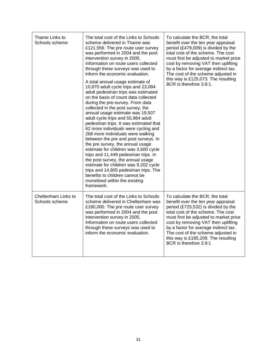| Thame Links to<br>Schools scheme      | The total cost of the Links to Schools<br>scheme delivered in Thame was<br>£121,556. The pre route user survey<br>was performed in 2004 and the post<br>intervention survey in 2005.<br>Information on route users collected<br>through these surveys was used to<br>inform the economic evaluation.<br>A total annual usage estimate of<br>10,870 adult cycle trips and 23,084<br>adult pedestrian trips was estimated<br>on the basis of count data collected<br>during the pre-survey. From data<br>collected in the post survey, the<br>annual usage estimate was 19,507<br>adult cycle trips and 55,984 adult<br>pedestrian trips. It was estimated that<br>62 more individuals were cycling and<br>268 more individuals were walking<br>between the pre and post surveys. In<br>the pre survey, the annual usage<br>estimate for children was 3,600 cycle<br>trips and 11,449 pedestrian trips. In<br>the post survey, the annual usage<br>estimate for children was 9,202 cycle<br>trips and 14,805 pedestrian trips. The<br>benefits to children cannot be<br>monetised within the existing<br>framework. | To calculate the BCR, the total<br>benefit over the ten year appraisal<br>period (£479,009) is divided by the<br>total cost of the scheme. The cost<br>must first be adjusted to market price<br>cost by removing VAT then uplifting<br>by a factor for average indirect tax.<br>The cost of the scheme adjusted in<br>this way is £125,073. The resulting<br>BCR is therefore 3.8:1. |
|---------------------------------------|-------------------------------------------------------------------------------------------------------------------------------------------------------------------------------------------------------------------------------------------------------------------------------------------------------------------------------------------------------------------------------------------------------------------------------------------------------------------------------------------------------------------------------------------------------------------------------------------------------------------------------------------------------------------------------------------------------------------------------------------------------------------------------------------------------------------------------------------------------------------------------------------------------------------------------------------------------------------------------------------------------------------------------------------------------------------------------------------------------------------|---------------------------------------------------------------------------------------------------------------------------------------------------------------------------------------------------------------------------------------------------------------------------------------------------------------------------------------------------------------------------------------|
| Cheltenham Links to<br>Schools scheme | The total cost of the Links to Schools<br>scheme delivered in Cheltenham was<br>£180,000. The pre route user survey<br>was performed in 2004 and the post<br>intervention survey in 2005.<br>Information on route users collected<br>through these surveys was used to<br>inform the economic evaluation.                                                                                                                                                                                                                                                                                                                                                                                                                                                                                                                                                                                                                                                                                                                                                                                                         | To calculate the BCR, the total<br>benefit over the ten year appraisal<br>period (£725,532) is divided by the<br>total cost of the scheme. The cost<br>must first be adjusted to market price<br>cost by removing VAT then uplifting<br>by a factor for average indirect tax.<br>The cost of the scheme adjusted in<br>this way is £185,209. The resulting<br>BCR is therefore 3.9:1  |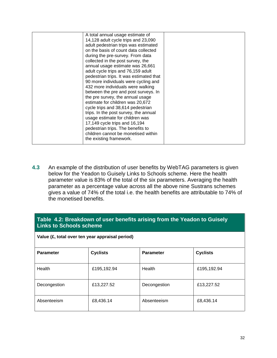| A total annual usage estimate of        |  |
|-----------------------------------------|--|
| 14,128 adult cycle trips and 23,090     |  |
| adult pedestrian trips was estimated    |  |
| on the basis of count data collected    |  |
| during the pre-survey. From data        |  |
| collected in the post survey, the       |  |
| annual usage estimate was 26,661        |  |
| adult cycle trips and 76,159 adult      |  |
| pedestrian trips. It was estimated that |  |
| 90 more individuals were cycling and    |  |
| 432 more individuals were walking       |  |
| between the pre and post surveys. In    |  |
| the pre survey, the annual usage        |  |
| estimate for children was 20,672        |  |
| cycle trips and 38,614 pedestrian       |  |
| trips. In the post survey, the annual   |  |
| usage estimate for children was         |  |
| 17,149 cycle trips and 16,194           |  |
| pedestrian trips. The benefits to       |  |
| children cannot be monetised within     |  |
| the existing framework.                 |  |
|                                         |  |

**4.3** An example of the distribution of user benefits by WebTAG parameters is given below for the Yeadon to Guisely Links to Schools scheme. Here the health parameter value is 83% of the total of the six parameters. Averaging the health parameter as a percentage value across all the above nine Sustrans schemes gives a value of 74% of the total i.e. the health benefits are attributable to 74% of the monetised benefits.

#### **Table 4.2: Breakdown of user benefits arising from the Yeadon to Guisely Links to Schools scheme**

| Value (£, total over ten year appraisal period) |                 |                  |                 |  |
|-------------------------------------------------|-----------------|------------------|-----------------|--|
| <b>Parameter</b>                                | <b>Cyclists</b> | <b>Parameter</b> | <b>Cyclists</b> |  |
| Health                                          | £195,192.94     | Health           | £195,192.94     |  |
| Decongestion                                    | £13,227.52      | Decongestion     | £13,227.52      |  |
| Absenteeism                                     | £8,436.14       | Absenteeism      | £8,436.14       |  |

32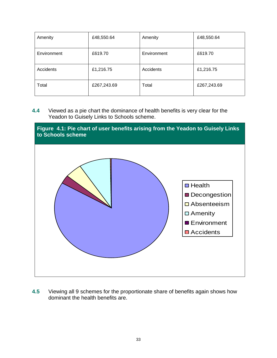| Amenity     | £48,550.64  | Amenity     | £48,550.64  |
|-------------|-------------|-------------|-------------|
| Environment | £619.70     | Environment | £619.70     |
| Accidents   | £1,216.75   | Accidents   | £1,216.75   |
| Total       | £267,243.69 | Total       | £267,243.69 |

**4.4** Viewed as a pie chart the dominance of health benefits is very clear for the Yeadon to Guisely Links to Schools scheme.



**4.5** Viewing all 9 schemes for the proportionate share of benefits again shows how dominant the health benefits are.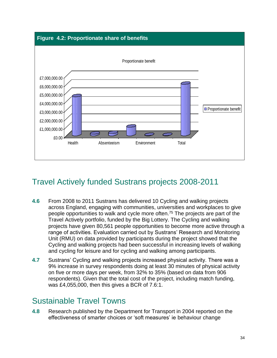#### **Figure 4.2: Proportionate share of benefits**



### Travel Actively funded Sustrans projects 2008-2011

- **4.6** From 2008 to 2011 Sustrans has delivered 10 Cycling and walking projects across England, engaging with communities, universities and workplaces to give people opportunities to walk and cycle more often.<sup>75</sup> The projects are part of the Travel Actively portfolio, funded by the Big Lottery. The Cycling and walking projects have given 80,561 people opportunities to become more active through a range of activities. Evaluation carried out by Sustrans' Research and Monitoring Unit (RMU) on data provided by participants during the project showed that the Cycling and walking projects had been successful in increasing levels of walking and cycling for leisure and for cycling and walking among participants.
- **4.7** Sustrans' Cycling and walking projects increased physical activity. There was a 9% increase in survey respondents doing at least 30 minutes of physical activity on five or more days per week, from 32% to 35% (based on data from 906 respondents). Given that the total cost of the project, including match funding, was £4,055,000, then this gives a BCR of 7.6:1.

#### Sustainable Travel Towns

**4.8** Research published by the Department for Transport in 2004 reported on the effectiveness of smarter choices or 'soft measures' ie behaviour change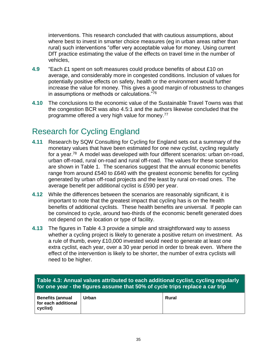interventions. This research concluded that with cautious assumptions, about where best to invest in smarter choice measures (eg in urban areas rather than rural) such interventions "offer very acceptable value for money. Using current DfT practice estimating the value of the effects on travel time in the number of vehicles,

- **4.9** "Each £1 spent on soft measures could produce benefits of about £10 on average, and considerably more in congested conditions. Inclusion of values for potentially positive effects on safety, health or the environment would further increase the value for money. This gives a good margin of robustness to changes in assumptions or methods or calculations."<sup>76</sup>
- **4.10** The conclusions to the economic value of the Sustainable Travel Towns was that the congestion BCR was also 4.5:1 and the authors likewise concluded that the programme offered a very high value for money.<sup>77</sup>

### Research for Cycling England

- **4.11** Research by SQW Consulting for Cycling for England sets out a summary of the monetary values that have been estimated for one new cyclist, cycling regularly for a year.<sup>78</sup> A model was developed with four different scenarios: urban on-road, urban off-road, rural on-road and rural off-road. The values for these scenarios are shown in Table 1. The scenarios suggest that the annual economic benefits range from around £540 to £640 with the greatest economic benefits for cycling generated by urban off-road projects and the least by rural on-road ones. The average benefit per additional cyclist is £590 per year.
- **4.12** While the differences between the scenarios are reasonably significant, it is important to note that the greatest impact that cycling has is on the health benefits of additional cyclists. These health benefits are universal. If people can be convinced to cycle, around two-thirds of the economic benefit generated does not depend on the location or type of facility.
- **4.13** The figures in Table 4.3 provide a simple and straightforward way to assess whether a cycling project is likely to generate a positive return on investment. As a rule of thumb, every £10,000 invested would need to generate at least one extra cyclist, each year, over a 30 year period in order to break even. Where the effect of the intervention is likely to be shorter, the number of extra cyclists will need to be higher.

| Table 4.3: Annual values attributed to each additional cyclist, cycling regularly<br>for one year - the figures assume that 50% of cycle trips replace a car trip |       |       |
|-------------------------------------------------------------------------------------------------------------------------------------------------------------------|-------|-------|
| <b>Benefits (annual</b>                                                                                                                                           | Urban | Rural |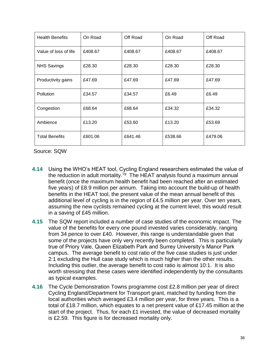| <b>Health Benefits</b> | On Road | Off Road | On Road | Off Road |
|------------------------|---------|----------|---------|----------|
| Value of loss of life  | £408.67 | £408.67  | £408.67 | £408.67  |
| <b>NHS Savings</b>     | £28.30  | £28.30   | £28.30  | £28.30   |
| Productivity gains     | £47.69  | £47.69   | £47.69  | £47.69   |
| Pollution              | £34.57  | £34.57   | £6.49   | £6.49    |
| Congestion             | £68.64  | £68.64   | £34.32  | £34.32   |
| Ambience               | £13.20  | £53.60   | £13.20  | £53.69   |
| <b>Total Benefits</b>  | £601.06 | £641.46  | £538.66 | £479.06  |

Source: SQW

- **4.14** Using the WHO's HEAT tool, Cycling England researchers estimated the value of the reduction in adult mortality.<sup>79</sup> The HEAT analysis found a maximum annual benefit (once the maximum health benefit had been reached after an estimated five years) of £8.9 million per annum. Taking into account the build-up of health benefits in the HEAT tool, the present value of the mean annual benefit of this additional level of cycling is in the region of £4.5 million per year. Over ten years, assuming the new cyclists remained cycling at the current level, this would result in a saving of £45 million.
- **4.15** The SQW report included a number of case studies of the economic impact. The value of the benefits for every one pound invested varies considerably, ranging from 34 pence to over £40. However, this range is understandable given that some of the projects have only very recently been completed. This is particularly true of Priory Vale, Queen Elizabeth Park and Surrey University's Manor Park campus. The average benefit to cost ratio of the five case studies is just under 2:1 excluding the Hull case study which is much higher than the other results. Including this outlier, the average benefit to cost ratio is almost 10:1. It is also worth stressing that these cases were identified independently by the consultants as typical examples.
- **4.16** The Cycle Demonstration Towns programme cost £2.8 million per year of direct Cycling England/Department for Transport grant, matched by funding from the local authorities which averaged £3.4 million per year, for three years. This is a total of £18.7 million, which equates to a net present value of £17.45 million at the start of the project. Thus, for each £1 invested, the value of decreased mortality is £2.59. This figure is for decreased mortality only.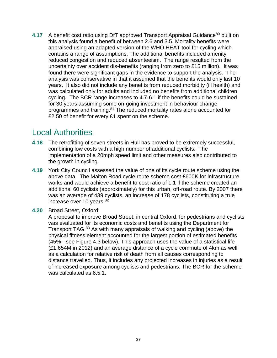**4.17** A benefit cost ratio using DfT approved Transport Appraisal Guidance<sup>80</sup> built on this analysis found a benefit of between 2.6 and 3.5. Mortality benefits were appraised using an adapted version of the WHO HEAT tool for cycling which contains a range of assumptions. The additional benefits included amenity, reduced congestion and reduced absenteeism. The range resulted from the uncertainty over accident dis-benefits (ranging from zero to £15 million). It was found there were significant gaps in the evidence to support the analysis. The analysis was conservative in that it assumed that the benefits would only last 10 years. It also did not include any benefits from reduced morbidity (ill health) and was calculated only for adults and included no benefits from additional children cycling. The BCR range increases to 4.7-6.1 if the benefits could be sustained for 30 years assuming some on-going investment in behaviour change programmes and training.<sup>81</sup> The reduced mortality rates alone accounted for £2.50 of benefit for every £1 spent on the scheme.

#### Local Authorities

- **4.18** The retrofitting of seven streets in Hull has proved to be extremely successful, combining low costs with a high number of additional cyclists. The implementation of a 20mph speed limit and other measures also contributed to the growth in cycling.
- **4.19** York City Council assessed the value of one of its cycle route scheme using the above data. The Malton Road cycle route scheme cost £600K for infrastructure works and would achieve a benefit to cost ratio of 1:1 if the scheme created an additional 60 cyclists (approximately) for this urban, off-road route. By 2007 there was an average of 439 cyclists, an increase of 178 cyclists, constituting a true increase over 10 years.<sup>82</sup>
- **4.20** Broad Street, Oxford:

A proposal to improve Broad Street, in central Oxford, for pedestrians and cyclists was evaluated for its economic costs and benefits using the Department for Transport TAG.<sup>83</sup> As with many appraisals of walking and cycling (above) the physical fitness element accounted for the largest portion of estimated benefits (45% - see Figure 4.3 below). This approach uses the value of a statistical life (£1.654M in 2012) and an average distance of a cycle commute of 4km as well as a calculation for relative risk of death from all causes corresponding to distance travelled. Thus, it includes any projected increases in injuries as a result of increased exposure among cyclists and pedestrians. The BCR for the scheme was calculated as 6.5:1.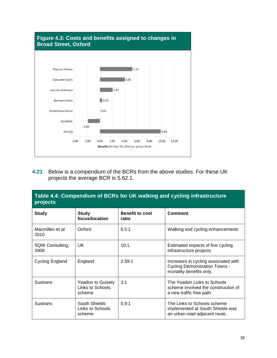

**4.21** Below is a compendium of the BCRs from the above studies. For these UK projects the average BCR is 5.62:1.

| Table 4.4: Compendium of BCRs for UK walking and cycling infrastructure<br>projects |                                                 |                                 |                                                                                                          |  |
|-------------------------------------------------------------------------------------|-------------------------------------------------|---------------------------------|----------------------------------------------------------------------------------------------------------|--|
| <b>Study</b>                                                                        | <b>Study</b><br>focus/location                  | <b>Benefit to cost</b><br>ratio | <b>Comment</b>                                                                                           |  |
| Macmillen et al<br>2010                                                             | Oxford                                          | 6.5:1                           | Walking and cycling enhancements                                                                         |  |
| SQW Consulting,<br>2008                                                             | UK.                                             | 10:1.                           | Estimated impacts of five cycling<br>infrastructure projects                                             |  |
| Cycling England                                                                     | England                                         | 2.59:1                          | Increases in cycling associated with<br><b>Cycling Demonstration Towns -</b><br>mortality benefits only. |  |
| <b>Sustrans</b>                                                                     | Yeadon to Guisely<br>Links to Schools<br>scheme | 3:1                             | The Yeadon Links to Schools<br>scheme involved the construction of<br>a new traffic free path.           |  |
| <b>Sustrans</b>                                                                     | South Shields<br>Links to Schools<br>scheme     | 5.9:1                           | The Links to Schools scheme<br>implemented at South Shields was<br>an urban road adjacent route.         |  |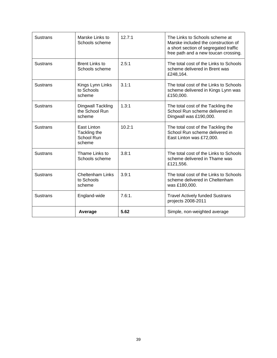| <b>Sustrans</b> | Marske Links to<br>Schools scheme                    | 12.7:1 | The Links to Schools scheme at<br>Marske included the construction of<br>a short section of segregated traffic<br>free path and a new toucan crossing. |
|-----------------|------------------------------------------------------|--------|--------------------------------------------------------------------------------------------------------------------------------------------------------|
| <b>Sustrans</b> | <b>Brent Links to</b><br>Schools scheme              | 2.5:1  | The total cost of the Links to Schools<br>scheme delivered in Brent was<br>£248,164.                                                                   |
| <b>Sustrans</b> | Kings Lynn Links<br>to Schools<br>scheme             | 3.1:1  | The total cost of the Links to Schools<br>scheme delivered in Kings Lynn was<br>£150,000.                                                              |
| <b>Sustrans</b> | <b>Dingwall Tackling</b><br>the School Run<br>scheme | 1.3:1  | The total cost of the Tackling the<br>School Run scheme delivered in<br>Dingwall was £190,000.                                                         |
| <b>Sustrans</b> | East Linton<br>Tackling the<br>School Run<br>scheme  | 10.2:1 | The total cost of the Tackling the<br>School Run scheme delivered in<br>East Linton was £72,000.                                                       |
| <b>Sustrans</b> | Thame Links to<br>Schools scheme                     | 3.8:1  | The total cost of the Links to Schools<br>scheme delivered in Thame was<br>£121,556.                                                                   |
| <b>Sustrans</b> | <b>Cheltenham Links</b><br>to Schools<br>scheme      | 3.9:1  | The total cost of the Links to Schools<br>scheme delivered in Cheltenham<br>was £180,000.                                                              |
| <b>Sustrans</b> | England-wide                                         | 7.6:1. | <b>Travel Actively funded Sustrans</b><br>projects 2008-2011                                                                                           |
|                 | Average                                              | 5.62   | Simple, non-weighted average                                                                                                                           |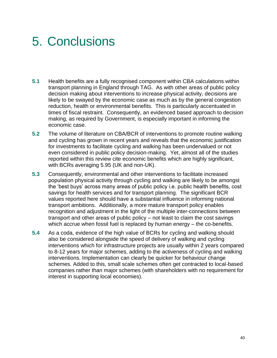## 5. Conclusions

- **5.1** Health benefits are a fully recognised component within CBA calculations within transport planning in England through TAG. As with other areas of public policy decision making about interventions to increase physical activity, decisions are likely to be swayed by the economic case as much as by the general congestion reduction, health or environmental benefits. This is particularly accentuated in times of fiscal restraint. Consequently, an evidenced based approach to decision making, as required by Government, is especially important in informing the economic case.
- **5.2** The volume of literature on CBA/BCR of interventions to promote routine walking and cycling has grown in recent years and reveals that the economic justification for investments to facilitate cycling and walking has been undervalued or not even considered in public policy decision-making. Yet, almost all of the studies reported within this review cite economic benefits which are highly significant, with BCRs averaging 5.95 (UK and non-UK).
- **5.3** Consequently, environmental and other interventions to facilitate increased population physical activity through cycling and walking are likely to be amongst the 'best buys' across many areas of public policy i.e. public health benefits, cost savings for health services and for transport planning. The significant BCR values reported here should have a substantial influence in informing national transport ambitions. Additionally, a more mature transport policy enables recognition and adjustment in the light of the multiple inter-connections between transport and other areas of public policy – not least to claim the cost savings which accrue when fossil fuel is replaced by human energy – the co-benefits.
- **5.4** As a coda, evidence of the high value of BCRs for cycling and walking should also be considered alongside the speed of delivery of walking and cycling interventions which for infrastructure projects are usually within 2 years compared to 8-12 years for major schemes, adding to the activeness of cycling and walking interventions. Implementation can clearly be quicker for behaviour change schemes. Added to this, small scale schemes often get contracted to local-based companies rather than major schemes (with shareholders with no requirement for interest in supporting local economies).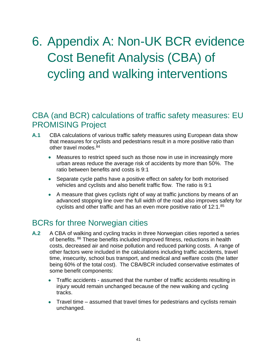# 6. Appendix A: Non-UK BCR evidence Cost Benefit Analysis (CBA) of cycling and walking interventions

#### CBA (and BCR) calculations of traffic safety measures: EU PROMISING Project

- **A.1** CBA calculations of various traffic safety measures using European data show that measures for cyclists and pedestrians result in a more positive ratio than other travel modes.<sup>84</sup>
	- Measures to restrict speed such as those now in use in increasingly more urban areas reduce the average risk of accidents by more than 50%. The ratio between benefits and costs is 9:1
	- Separate cycle paths have a positive effect on safety for both motorised vehicles and cyclists and also benefit traffic flow. The ratio is 9:1
	- A measure that gives cyclists right of way at traffic junctions by means of an advanced stopping line over the full width of the road also improves safety for cyclists and other traffic and has an even more positive ratio of 12:1.<sup>85</sup>

#### BCRs for three Norwegian cities

- **A.2** A CBA of walking and cycling tracks in three Norwegian cities reported a series of benefits. <sup>86</sup> These benefits included improved fitness, reductions in health costs, decreased air and noise pollution and reduced parking costs. A range of other factors were included in the calculations including traffic accidents, travel time, insecurity, school bus transport, and medical and welfare costs (the latter being 60% of the total cost). The CBA/BCR included conservative estimates of some benefit components:
	- Traffic accidents assumed that the number of traffic accidents resulting in injury would remain unchanged because of the new walking and cycling tracks.
	- Travel time assumed that travel times for pedestrians and cyclists remain unchanged.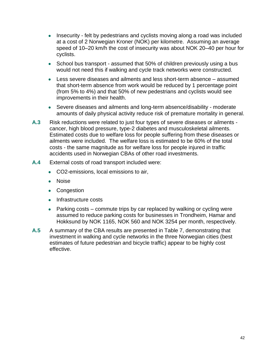- Insecurity felt by pedestrians and cyclists moving along a road was included at a cost of 2 Norwegian Kroner (NOK) per kilometre. Assuming an average speed of 10–20 km/h the cost of insecurity was about NOK 20–40 per hour for cyclists.
- School bus transport assumed that 50% of children previously using a bus would not need this if walking and cycle track networks were constructed.
- Less severe diseases and ailments and less short-term absence assumed that short-term absence from work would be reduced by 1 percentage point (from 5% to 4%) and that 50% of new pedestrians and cyclists would see improvements in their health.
- Severe diseases and ailments and long-term absence/disability moderate amounts of daily physical activity reduce risk of premature mortality in general.
- **A.3** Risk reductions were related to just four types of severe diseases or ailments cancer, high blood pressure, type-2 diabetes and musculoskeletal ailments. Estimated costs due to welfare loss for people suffering from these diseases or ailments were included. The welfare loss is estimated to be 60% of the total costs - the same magnitude as for welfare loss for people injured in traffic accidents used in Norwegian CBAs of other road investments.
- **A.4** External costs of road transport included were:
	- CO2-emissions, local emissions to air,
	- Noise
	- Congestion
	- Infrastructure costs
	- Parking costs commute trips by car replaced by walking or cycling were assumed to reduce parking costs for businesses in Trondheim, Hamar and Hokksund by NOK 1165, NOK 560 and NOK 3254 per month, respectively.
- **A.5** A summary of the CBA results are presented in Table 7, demonstrating that investment in walking and cycle networks in the three Norwegian cities (best estimates of future pedestrian and bicycle traffic) appear to be highly cost effective.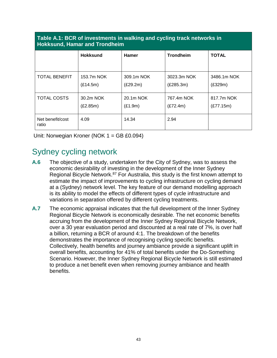#### **Table A.1: BCR of investments in walking and cycling track networks in Hokksund, Hamar and Trondheim**

|                           | <b>Hokksund</b> | <b>Hamer</b> | <b>Trondheim</b> | <b>TOTAL</b> |  |
|---------------------------|-----------------|--------------|------------------|--------------|--|
|                           |                 |              |                  |              |  |
| <b>TOTAL BENEFIT</b>      | 153.7m NOK      | 309.1m NOK   | 3023.3m NOK      | 3486.1m NOK  |  |
|                           | (E14.5m)        | (E29.2m)     | (E285.3m)        | (E329m)      |  |
| <b>TOTAL COSTS</b>        | 30.2m NOK       | 20.1m NOK    | 767.4m NOK       | 817.7m NOK   |  |
|                           | (E2.85m)        | (E1.9m)      | (E72.4m)         | (E77.15m)    |  |
| Net benefit/cost<br>ratio | 4.09            | 14.34        | 2.94             |              |  |

Unit: Norwegian Kroner (NOK 1 = GB £0.094)

### Sydney cycling network

- **A.6** The objective of a study, undertaken for the City of Sydney, was to assess the economic desirability of investing in the development of the Inner Sydney Regional Bicycle Network.<sup>87</sup> For Australia, this study is the first known attempt to estimate the impact of improvements to cycling infrastructure on cycling demand at a (Sydney) network level. The key feature of our demand modelling approach is its ability to model the effects of different types of cycle infrastructure and variations in separation offered by different cycling treatments.
- **A.7** The economic appraisal indicates that the full development of the Inner Sydney Regional Bicycle Network is economically desirable. The net economic benefits accruing from the development of the Inner Sydney Regional Bicycle Network, over a 30 year evaluation period and discounted at a real rate of 7%, is over half a billion, returning a BCR of around 4:1. The breakdown of the benefits demonstrates the importance of recognising cycling specific benefits. Collectively, health benefits and journey ambiance provide a significant uplift in overall benefits, accounting for 41% of total benefits under the Do-Something Scenario. However, the Inner Sydney Regional Bicycle Network is still estimated to produce a net benefit even when removing journey ambiance and health benefits.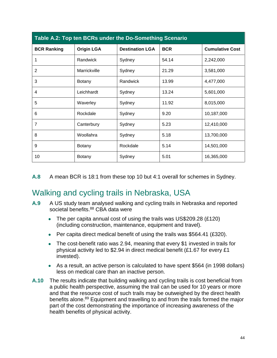| Table A.2: Top ten BCRs under the Do-Something Scenario |                   |                        |            |                        |
|---------------------------------------------------------|-------------------|------------------------|------------|------------------------|
| <b>BCR Ranking</b>                                      | <b>Origin LGA</b> | <b>Destination LGA</b> | <b>BCR</b> | <b>Cumulative Cost</b> |
| 1                                                       | Randwick          | Sydney                 | 54.14      | 2,242,000              |
| $\overline{2}$                                          | Marrickville      | Sydney                 | 21.29      | 3,581,000              |
| 3                                                       | <b>Botany</b>     | Randwick               | 13.99      | 4,477,000              |
| 4                                                       | Leichhardt        | Sydney                 | 13.24      | 5,601,000              |
| 5                                                       | Waverley          | Sydney                 | 11.92      | 8,015,000              |
| 6                                                       | Rockdale          | Sydney                 | 9.20       | 10,187,000             |
| $\overline{7}$                                          | Canterbury        | Sydney                 | 5.23       | 12,410,000             |
| 8                                                       | Woollahra         | Sydney                 | 5.18       | 13,700,000             |
| 9                                                       | <b>Botany</b>     | Rockdale               | 5.14       | 14,501,000             |
| 10                                                      | <b>Botany</b>     | Sydney                 | 5.01       | 16,365,000             |

**A.8** A mean BCR is 18:1 from these top 10 but 4:1 overall for schemes in Sydney.

### Walking and cycling trails in Nebraska, USA

- **A.9** A US study team analysed walking and cycling trails in Nebraska and reported societal benefits.<sup>88</sup> CBA data were
	- The per capita annual cost of using the trails was US\$209.28 (£120) (including construction, maintenance, equipment and travel).
	- Per capita direct medical benefit of using the trails was \$564.41 (£320).
	- The cost-benefit ratio was 2.94, meaning that every \$1 invested in trails for physical activity led to \$2.94 in direct medical benefit (£1.67 for every £1 invested).
	- As a result, an active person is calculated to have spent \$564 (in 1998 dollars) less on medical care than an inactive person.
- **A.10** The results indicate that building walking and cycling trails is cost beneficial from a public health perspective, assuming the trail can be used for 10 years or more and that the resource cost of such trails may be outweighed by the direct health benefits alone.<sup>89</sup> Equipment and travelling to and from the trails formed the major part of the cost demonstrating the importance of increasing awareness of the health benefits of physical activity.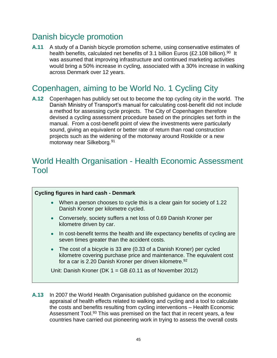### Danish bicycle promotion

**A.11** A study of a Danish bicycle promotion scheme, using conservative estimates of health benefits, calculated net benefits of 3.1 billion Euros (£2.108 billion).<sup>90</sup> It was assumed that improving infrastructure and continued marketing activities would bring a 50% increase in cycling, associated with a 30% increase in walking across Denmark over 12 years.

#### Copenhagen, aiming to be World No. 1 Cycling City

**A.12** Copenhagen has publicly set out to become the top cycling city in the world. The Danish Ministry of Transport's manual for calculating cost-benefit did not include a method for assessing cycle projects. The City of Copenhagen therefore devised a cycling assessment procedure based on the principles set forth in the manual. From a cost-benefit point of view the investments were particularly sound, giving an equivalent or better rate of return than road construction projects such as the widening of the motorway around Roskilde or a new motorway near Silkeborg.<sup>91</sup>

#### World Health Organisation - Health Economic Assessment Tool

#### **Cycling figures in hard cash - Denmark**

- When a person chooses to cycle this is a clear gain for society of 1.22 Danish Kroner per kilometre cycled.
- Conversely, society suffers a net loss of 0.69 Danish Kroner per kilometre driven by car.
- In cost-benefit terms the health and life expectancy benefits of cycling are seven times greater than the accident costs.
- The cost of a bicycle is 33 øre (0.33 of a Danish Kroner) per cycled kilometre covering purchase price and maintenance. The equivalent cost for a car is 2.20 Danish Kroner per driven kilometre.<sup>92</sup>

Unit: Danish Kroner (DK 1 = GB £0.11 as of November 2012)

**A.13** In 2007 the World Health Organisation published guidance on the economic appraisal of health effects related to walking and cycling and a tool to calculate the costs and benefits resulting from cycling interventions – Health Economic Assessment Tool.<sup>93</sup> This was premised on the fact that in recent years, a few countries have carried out pioneering work in trying to assess the overall costs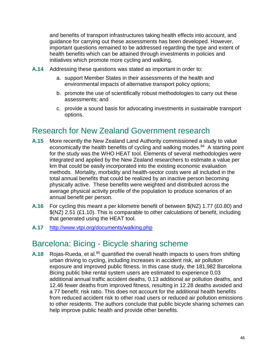and benefits of transport infrastructures taking health effects into account, and guidance for carrying out these assessments has been developed. However, important questions remained to be addressed regarding the type and extent of health benefits which can be attained through investments in policies and initiatives which promote more cycling and walking.

- **A.14** Addressing these questions was stated as important in order to:
	- a. support Member States in their assessments of the health and environmental impacts of alternative transport policy options;
	- b. promote the use of scientifically robust methodologies to carry out these assessments; and
	- c. provide a sound basis for advocating investments in sustainable transport options.

#### Research for New Zealand Government research

- **A.15** More recently the New Zealand Land Authority commissioned a study to value economically the health benefits of cycling and walking modes.<sup>94</sup> A starting point for the study was the WHO HEAT tool. Elements of several methodologies were integrated and applied by the New Zealand researchers to estimate a value per km that could be easily incorporated into the existing economic evaluation methods. Mortality, morbidity and health-sector costs were all included in the total annual benefits that could be realized by an inactive person becoming physically active. These benefits were weighted and distributed across the average physical activity profile of the population to produce scenarios of an annual benefit per person.
- **A.16** For cycling this meant a per kilometre benefit of between \$(NZ) 1.77 (£0.80) and \$(NZ) 2.51 (£1.10). This is comparable to other calculations of benefit, including that generated using the HEAT tool.
- **A.17** <http://www.vtpi.org/documents/walking.php>

#### Barcelona: Bicing - Bicycle sharing scheme

**A.18** Rojas-Rueda, et al.<sup>95</sup> quantified the overall health impacts to users from shifting urban driving to cycling, including increases in accident risk, air pollution exposure and improved public fitness. In this case study, the 181,982 Barcelona Bicing public bike rental system users are estimated to experience 0.03 additional annual traffic accident deaths, 0.13 additional air pollution deaths, and 12.46 fewer deaths from improved fitness, resulting in 12.28 deaths avoided and a 77 benefit: risk ratio. This does not account for the additional health benefits from reduced accident risk to other road users or reduced air pollution emissions to other residents. The authors conclude that public bicycle sharing schemes can help improve public health and provide other benefits.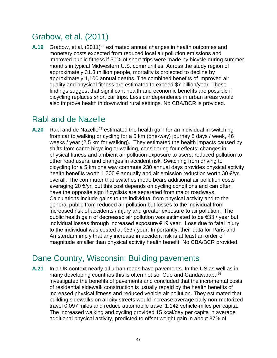### Grabow, et al. (2011)

**A.19** Grabow, et al. (2011)<sup>96</sup> estimated annual changes in health outcomes and monetary costs expected from reduced local air pollution emissions and improved public fitness if 50% of short trips were made by bicycle during summer months in typical Midwestern U.S. communities. Across the study region of approximately 31.3 million people, mortality is projected to decline by approximately 1,100 annual deaths. The combined benefits of improved air quality and physical fitness are estimated to exceed \$7 billion/year. These findings suggest that significant health and economic benefits are possible if bicycling replaces short car trips. Less car dependence in urban areas would also improve health in downwind rural settings. No CBA/BCR is provided.

### Rabl and de Nazelle

**A.20** Rabl and de Nazelle<sup>97</sup> estimated the health gain for an individual in switching from car to walking or cycling for a 5 km (one-way) journey 5 days / week, 46 weeks / year (2.5 km for walking). They estimated the health impacts caused by shifts from car to bicycling or walking, considering four effects: changes in physical fitness and ambient air pollution exposure to users, reduced pollution to other road users, and changes in accident risk. Switching from driving to bicycling for a 5 km one way commute 230 annual days provides physical activity health benefits worth 1,300  $\epsilon$  annually and air emission reduction worth 30  $\epsilon$ /yr. overall. The commuter that switches mode bears additional air pollution costs averaging 20 €/yr, but this cost depends on cycling conditions and can often have the opposite sign if cyclists are separated from major roadways. Calculations include gains to the individual from physical activity and to the general public from reduced air pollution but losses to the individual from increased risk of accidents / injury and greater exposure to air pollution. The public health gain of decreased air pollution was estimated to be €33 / year but individual losses through increased exposure €19 year. Loss due to fatal injury to the individual was costed at €53 / year. Importantly, their data for Paris and Amsterdam imply that any increase in accident risk is at least an order of magnitude smaller than physical activity health benefit. No CBA/BCR provided.

### Dane Country, Wisconsin: Building pavements

**A.21** In a UK context nearly all urban roads have pavements. In the US as well as in many developing countries this is often not so. Guo and Gandavarapu<sup>98</sup> investigated the benefits of pavements and concluded that the incremental costs of residential sidewalk construction is usually repaid by the health benefits of increased physical fitness and reduced vehicle air pollution. They estimated that building sidewalks on all city streets would increase average daily non-motorized travel 0.097 miles and reduce automobile travel 1.142 vehicle-miles per capita. The increased walking and cycling provided 15 kcal/day per capita in average additional physical activity, predicted to offset weight gain in about 37% of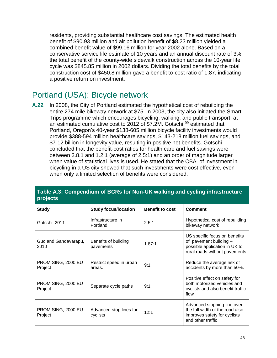residents, providing substantial healthcare cost savings. The estimated health benefit of \$90.93 million and air pollution benefit of \$8.23 million yielded a combined benefit value of \$99.16 million for year 2002 alone. Based on a conservative service life estimate of 10 years and an annual discount rate of 3%, the total benefit of the county-wide sidewalk construction across the 10-year life cycle was \$845.85 million in 2002 dollars. Dividing the total benefits by the total construction cost of \$450.8 million gave a benefit to-cost ratio of 1.87, indicating a positive return on investment.

### Portland (USA): Bicycle network

**A.22** In 2008, the City of Portland estimated the hypothetical cost of rebuilding the entire 274 mile bikeway network at \$75. In 2003, the city also initiated the Smart Trips programme which encourages bicycling, walking, and public transport, at an estimated cumulative cost to 2012 of \$7.2M. Gotschi<sup>99</sup> estimated that Portland, Oregon's 40-year \$138-605 million bicycle facility investments would provide \$388-594 million healthcare savings, \$143-218 million fuel savings, and \$7-12 billion in longevity value, resulting in positive net benefits. Gotschi concluded that the benefit-cost ratios for health care and fuel savings were between 3.8.1 and 1.2:1 (average of 2.5:1) and an order of magnitude larger when value of statistical lives is used. He stated that the CBA of investment in bicycling in a US city showed that such investments were cost effective, even when only a limited selection of benefits were considered.

| projects                      |                                     |                        |                                                                                                                           |
|-------------------------------|-------------------------------------|------------------------|---------------------------------------------------------------------------------------------------------------------------|
| <b>Study</b>                  | <b>Study focus/location</b>         | <b>Benefit to cost</b> | <b>Comment</b>                                                                                                            |
| Gotschi, 2011                 | Infrastructure in<br>Portland       | 2.5:1                  | Hypothetical cost of rebuilding<br>bikeway network                                                                        |
| Guo and Gandavarapu,<br>2010  | Benefits of building<br>pavements   | 1.87:1                 | US specific focus on benefits<br>of pavement building -<br>possible application in UK to<br>rural roads without pavements |
| PROMISING, 2000 EU<br>Project | Restrict speed in urban<br>areas.   | 9:1                    | Reduce the average risk of<br>accidents by more than 50%.                                                                 |
| PROMISING, 2000 EU<br>Project | Separate cycle paths                | 9:1                    | Positive effect on safety for<br>both motorized vehicles and<br>cyclists and also benefit traffic<br>flow                 |
| PROMISING, 2000 EU<br>Project | Advanced stop lines for<br>cyclists | 12:1                   | Advanced stopping line over<br>the full width of the road also<br>improves safety for cyclists<br>and other traffic       |

#### **Table A.3: Compendium of BCRs for Non-UK walking and cycling infrastructure projects**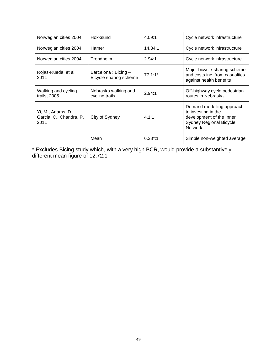| Norwegian cities 2004                                 | Hokksund                                      | 4.09:1     | Cycle network infrastructure                                                                                                     |
|-------------------------------------------------------|-----------------------------------------------|------------|----------------------------------------------------------------------------------------------------------------------------------|
| Norwegian cities 2004                                 | Hamer                                         | 14.34:1    | Cycle network infrastructure                                                                                                     |
| Norwegian cities 2004                                 | Trondheim                                     | 2.94:1     | Cycle network infrastructure                                                                                                     |
| Rojas-Rueda, et al.<br>2011                           | Barcelona: Bicing -<br>Bicycle sharing scheme | $77.1:1*$  | Major bicycle-sharing scheme<br>and costs inc. from casualties<br>against health benefits                                        |
| Walking and cycling<br>trails, 2005                   | Nebraska walking and<br>cycling trails        | 2.94:1     | Off-highway cycle pedestrian<br>routes in Nebraska                                                                               |
| Yi, M., Adams, D.,<br>Garcia, C., Chandra, P.<br>2011 | City of Sydney                                | 4.1:1      | Demand modelling approach<br>to investing in the<br>development of the Inner<br><b>Sydney Regional Bicycle</b><br><b>Network</b> |
|                                                       | Mean                                          | $6.28$ *:1 | Simple non-weighted average                                                                                                      |

\* Excludes Bicing study which, with a very high BCR, would provide a substantively different mean figure of 12.72:1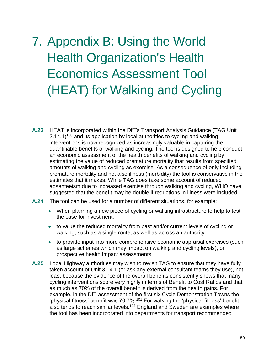# 7. Appendix B: Using the World Health Organization's Health Economics Assessment Tool (HEAT) for Walking and Cycling

- **A.23** HEAT is incorporated within the DfT's Transport Analysis Guidance (TAG Unit  $3.14.1$ )<sup>100</sup> and its application by local authorities to cycling and walking interventions is now recognized as increasingly valuable in capturing the quantifiable benefits of walking and cycling. The tool is designed to help conduct an economic assessment of the health benefits of walking and cycling by estimating the value of reduced premature mortality that results from specified amounts of walking and cycling as exercise. As a consequence of only including premature mortality and not also illness (morbidity) the tool is conservative in the estimates that it makes. While TAG does take some account of reduced absenteeism due to increased exercise through walking and cycling, WHO have suggested that the benefit may be double if reductions in illness were included.
- **A.24** The tool can be used for a number of different situations, for example:
	- When planning a new piece of cycling or walking infrastructure to help to test the case for investment.
	- to value the reduced mortality from past and/or current levels of cycling or walking, such as a single route, as well as across an authority.
	- to provide input into more comprehensive economic appraisal exercises (such as large schemes which may impact on walking and cycling levels), or prospective health impact assessments.
- **A.25** Local Highway authorities may wish to revisit TAG to ensure that they have fully taken account of Unit 3.14.1 (or ask any external consultant teams they use), not least because the evidence of the overall benefits consistently shows that many cycling interventions score very highly in terms of Benefit to Cost Ratios and that as much as 70% of the overall benefit is derived from the health gains. For example, in the DfT assessment of the first six Cycle Demonstration Towns the 'physical fitness' benefit was 70.7%.<sup>101</sup> For walking the 'physical fitness' benefit also tends to reach similar levels.<sup>102</sup> England and Sweden are examples where the tool has been incorporated into departments for transport recommended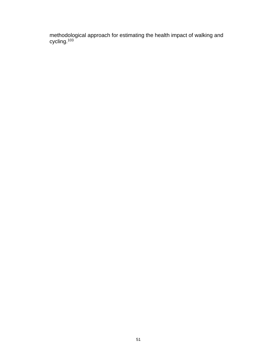methodological approach for estimating the health impact of walking and cycling.<sup>103</sup>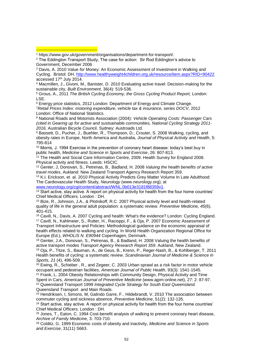- <sup>3</sup> Davis, A. 2010 Value *for* Money: An Economic Assessment of Investment in Walking and Cycling. Bristol: DH.<http://www.healthyweight4children.org.uk/resource/item.aspx?RID=90422> accessed 17<sup>th</sup> July 2014.
- <sup>4</sup> Macmillen, J., Givoni, M., Banister, D. 2010 Evaluating active travel: Decision-making for the sustainable city, *Built Environment*, 36(4): 519-536.

<sup>5</sup> Grous, A., 2011 *The British Cycling Economy, the Gross Cycling Product Report,* London: LSE.

<sup>6</sup> Energy price statistics, 2012 London: Department of Energy and Climate Change. <sup>7</sup>*Retail Prices Index: motoring expenditure, vehicle tax & insurance, series DOCV*, 2012 London: Office of National Statistics.

<sup>8</sup> National Roads and Motorists Association (2004): *Vehicle Operating Costs: Passenger Cars (cited in Gearing up for active and sustsainable communities, National Cycling Strategy 2011- 2016,* Australian Bicycle Council. Sydney: Austroads Ltd.

<sup>9</sup> Bassett, D., Pucher, J., Buehler, R., Thompson, D., Crouter, S. 2008 Walking, cycling, and obesity rates in Europe, North America and Australia, *Journal of Physical Activity and Health*, 5: 795-814

<sup>10</sup> Morris, J. 1994 Exercise in the prevention of coronary heart disease: today's best buy in public health, *Medicine and Science in Sports and Exercise*, 26: 807-813.

<sup>11</sup> The Health and Social Care Information Centre, 2009. Health Survey for England 2008. Physical activity and fitness. Leeds: HSCIC.

<sup>12</sup> Genter, J, Donovan, S., Petrenas, B., Badland, H. 2008 *Valuing the health benefits of active travel modes*, Aukland: New Zealand Transport Agency Research Report 359.

<sup>13</sup> K.I. Erickson, et al. 2010 Physical Activity Predicts Grey Matter Volume In Late Adulthood: The Cardiovascular Health Study, *Neurology* (www.neurology.org); at

[www.neurology.org/cgi/content/abstract/WNL.0b013e3181f88359v1.](http://www.neurology.org/cgi/content/abstract/WNL.0b013e3181f88359v1)

<sup>14</sup> Start active, stay active. A report on physical activity for health from the four home countries' Chief Medical Officers. London : DH.

<sup>15</sup> Bize, R., Johnson, J.A., & Plotnikoff, R.C. 2007 Physical activity level and health-related quality of life in the general adult population: a systematic review. *Preventive Medicine, 45*(6), 401-415.

<sup>16</sup> Cavill, N., Davis, A. 2007 Cycling and health: What's the evidence? London: Cycling England. <sup>17</sup> Cavill, N., Kahlmeier, S., Rutter, H., Racioppi, F., & Oja, P. 2007 Economic Assessment of Transport Infrastructure and Policies: Methodological guidance on the economic appraisal of health effects related to walking and cycling. In World Health Organization Regional Office for Europe (Ed.), *WHOLIS N. E90944* Copenhagen, Denmark.

<sup>18</sup> Genter, J.A., Donovan, S., Petrenas, B., & Badland, H. 2008 Valuing the health benefits of active transport modes *Transport Agency Research Report 359*. Aukland, New Zealand. <sup>19</sup> Oja, P., Titze, S., Bauman, A., de Geus, B., Krenn, P., Reger-Nash, B., & Kohlberger, T. 2011

Health benefits of cycling: a systematic review. *Scandinavian Journal of Medicine & Science in Sports, 21* (4), 496-509.

 $20$  Ewing, R., Schieber, R., and Zegeer, C. 2003 Urban sprawl as a risk factor in motor vehicle occupant and pedestrian facilities, *American Journal of Public Health*, 93(3): 1541-1545. <sup>21</sup> Frank, L. 2004 Obesity Relationships with Community Design, Physical Activity and Time

Spent in Cars, *American Journal of Preventive Medicine* (www.ajpm-online.net), 27: 2: 87-97. <sup>22</sup> Queensland Transport 1999 *Integrated Cycle Strategy for South East Queensland.* 

Queensland Transport and Main Roads.

<sup>23</sup> Hendriksen, I, Simons, M, Galindo Garre, F., Hildebrandt, V. 2010 The association between commuter cycling and sickness absence, *Preventive Medicine*, 51(2): 132-135.

 $24$  Start active, stay active. A report on physical activity for health from the four home countries' Chief Medical Officers. London : DH.

<sup>25</sup> Jones, T., Eaton, C. 1994 Cost-benefit analysis of walking to prevent coronary heart disease, *Archive of Family Medicine*, 3: 703-710.

<sup>26</sup> Colditz, G. 1999 Economic costs of obesity and inactivity, *Medicine and Science in Sports and Exercise*, 31(11) S663.

<sup>1</sup> https://www.gov.uk/government/organisations/department-for-transport/.  $\blacksquare$ 

<sup>2</sup> The Eddington Transport Study, The case for action: Sir Rod Eddington's advice to Government, December 2006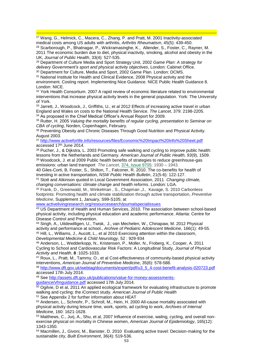<sup>27</sup> Wang, G., Helmick, C., Macera, C., Zhang, P. and Pratt, M. 2001 Inactivity-associated medical costs among US adults with arthritis, *Arthritis Rheumatism*, 45(5): 439-450. <sup>28</sup> Scarborough, P., Bhatnagar, P., Wickramasinghe, K., Allender, S., Foster, C., Rayner, M. 2011 The economic burden due to diet, physical inactivity, smoking, alcohol and obesity in the UK, *Journal of Public Health*, 33(4): 527-535.

<sup>29</sup> Department of Culture Media and Sport Strategy Unit, 2002 *Game Plan: A strategy for delivery Government's sport and physical activity objectives*, London: Cabinet Office. <sup>30</sup> Department for Culture, Media and Sport, 2002 Game Plan. London: DCMS.

 $\blacksquare$ 

<sup>31</sup> National Institute for Health and Clinical Evidence, 2008 Physical activity and the environment. Costing report. Implementing Nice Guidance. NICE Public Health Guidance 8. London: NICE.

<sup>32</sup> York Health Consortium. 2007 A rapid review of economic literature related to environmental interventions that increase physical activity levels in the general population. York: The University of York.

33 Jarrett, J., Woodcock, J., Griffiths, U., et al 2012 Effects of increasing active travel in urban England and Wales on costs to the National Health Service. *The Lancet*, 379: 2198-2205. <sup>34</sup> As proposed in the Chief Medical Officer's Annual Report for 2009.

<sup>35</sup> Rutter, H. 2005 *Valuing the mortality benefits of regular cycling, presentation to Seminar on CBA of cycling*, Norden, Copenhagen, February.

36 Preventing Obesity and Chronic Diseases Through Good Nutrition and Physical Activity. August 2003.

<sup>37</sup> <http://www.activeforlife.info/resources/files/Economic%20Impact%20Info%20Sheet.pdf> accessed 17th June 2014.

<sup>38</sup> Pucher, J., & Dijkstra, L. 2003 Promoting safe walking and cycling to improve public health: lessons from the Netherlands and Germany. *American Journal of Public Health, 93*(9), 1509. <sup>39</sup> Woodcock, J. et al 2009 Public health benefits of strategies to reduce greenhouse-gas emissions: urban land transport *The Lancet*, [374, Issue 9705:](http://www.thelancet.com/journals/lancet/issue/vol374no9705/PIIS0140-6736(09)X6103-9) 1930 – 1943.

40 Giles-Corti, B, Foster, S., Shilton, T., Falconer, R. 2010. The co-benefits for health of investing in active transportation, *NSW Public Health Bulletin*, 21(5-6): 122-127.

<sup>41</sup> Stott and Atkinson quoted in Local Government Association, 2011 *Changing climate, changing conversations: climate change and health reforms*. London: LGA.

<sup>42</sup> Frank, D., Greenwald, M., Winkelman , S., Chapman ,J., Kavage, S. 2010 Carbonless footprints: Promoting health and climate stabilization through active transportation, *Preventive Medicine*, Supplement 1, January, S99-S105; at

[www.activelivingresearch.org/resourcesearch/journalspecialissues](http://www.activelivingresearch.org/resourcesearch/journalspecialissues)

<sup>43</sup> US Department of Health and Human Services, 2010. The association between school-based physical activity, including physical education and academic performance. Atlanta: Centre for Disease Control and Prevention.

<sup>44</sup> Singh, A., Uitdewilligen, U., Twisk, J., van Mechelen, W., Chinapaw, M. 2012 Physical activity and performance at school., *Archive of Pediatric Adolescent Medicine*, 166(1): 49-55. <sup>45</sup> Hill, L., Williams, J., Aucott, L., et al 2010 Exercising attention within the classroom, *Developmental Medicine & Child Neurology*, 52 : 929-934

<sup>46</sup> Anderson, L., Wedderkopp, N., Kristensen, P., Moller, N., Froberg, K., Cooper, A. 2011 Cycling to School and Cardiovascular Risk Factors: A Longitudinal Study, *Journal of Physical Activity and Health*, **8** :1025-1033.

<sup>47</sup> Roux, L., Pratt, M., Tammy, O., et al Cost-effectiveness of community-based physical activity interventions, *American Journal of Preventive Medicine*, 35(6): 578-588.

<sup>48</sup> [http://www.dft.gov.uk/webtag/documents/expert/pdf/u3\\_5\\_4-cost-benefit-analysis-020723.pdf](http://www.dft.gov.uk/webtag/documents/expert/pdf/u3_5_4-cost-benefit-analysis-020723.pdf) accessed 17th July 2014.

<sup>49</sup> See [http://assets.dft.gov.uk/publications/value-for-money-assessments](http://assets.dft.gov.uk/publications/value-for-money-assessments-guidance/vfmguidance.pdf)[guidance/vfmguidance.pdf](http://assets.dft.gov.uk/publications/value-for-money-assessments-guidance/vfmguidance.pdf) accessed 17th July 2014.

 $50$  Ogilvie, D et al, 2011 An applied ecological framework for evaluating infrastructure to promote

walking and cycling: the iConnect study. *American Journal of Public Health*

<sup>51</sup> See Appendix 2 for further information about HEAT

<sup>52</sup> Andersen, L., Schnohr, P., Schroll, M., Hein, H. 2000 All-cause mortality associated with physical activity during leisure time, work, sports, ad cycling to work, *Archives of Internal Medicine*, 160: 1621-1628.

<sup>53</sup> Matthews, C., Jurj, A., Shu, et al, 2007 Influence of exercise, waling, cycling, and overall nonexercise physical on mortality in Chinese women, *American Journal of Epidemiology*, 165(12): 1343-1350.

<sup>54</sup> Macmillen, J., Givoni, M., Banister, D. 2010 Evaluating active travel: Decision-making for the sustainable city, *Built Environment*, 36(4): 519-536.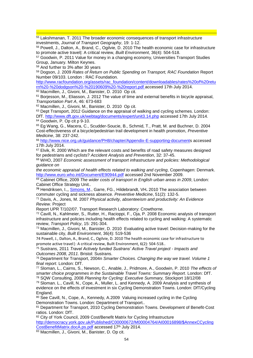$\blacksquare$ <sup>55</sup> Lakshmanan, T. 2011 The broader economic consequences of transport infrastructure investments, *Journal of Transport Geography*, 19: 1-12.

<sup>56</sup> Powell, J., Dalton, A., Brand, C., Ogilvie, D. 2010 The health economic case for infrastructure to promote active travel|: A critical review, *Built Environment*, 36(4): 504-518.

<sup>57</sup> Goodwin, P. 2011 Value for money in a changing economy, Universities Transport Studies Group, January. Milton Keynes.

<sup>58</sup> And further to 3% after 30 years

<sup>59</sup> Dogson, J. 2009 *Rates of Return on Public Spending on Transport, RAC Foundation* Report Number 09/103. London : RAC Foundation.

[http://www.racfoundation.org/assets/rac\\_foundation/content/downloadables/rates%20of%20retu](http://www.racfoundation.org/assets/rac_foundation/content/downloadables/rates%20of%20return%20-%20dodgson%20-%20190609%20-%20report.pdf) [rn%20-%20dodgson%20-%20190609%20-%20report.pdf](http://www.racfoundation.org/assets/rac_foundation/content/downloadables/rates%20of%20return%20-%20dodgson%20-%20190609%20-%20report.pdf) accessed 17th July 2014.

<sup>60</sup> Macmillen, J., Givoni, M., Banister, D. 2010 Op cit.

<sup>61</sup> Borjesson, M., Eliasson, J. 2012 The value of time and external benefits in bicycle appraisal, *Transportation Part A*, 46: 673-683

<sup>62</sup> Macmillen, J., Givoni, M., Banister, D. 2010 Op cit.

<sup>63</sup> Dept Transport, 2012 Guidance on the appraisal of walking and cycling schemes. London: DfT[. http://www.dft.gov.uk/webtag/documents/expert/unit3.14.php](http://www.dft.gov.uk/webtag/documents/expert/unit3.14.php) accessed 17th July 2014. <sup>64</sup> Goodwin, P. Op cit p 9-10.

<sup>65</sup> Eg Wang, G., Macera, C., Scudder-Soucie, B., Schmid, T., Pratt, M. and Buchner, D. 2004 Cost-effectiveness of a bicycle/pedestrian trail development in health promotion, *Preventive Medicine*, 38: 237-242.

<sup>66</sup> [http://www.nice.org.uk/guidance/PH8/chapter/Appendix-E-supporting-documents](http://www.nice.org.uk/guidance/PH8/chapter/Appendix-E-supporting-document) accessed 17th July 2014.

 $67$  Elvik, R. 2000 Which are the relevant costs and benefits of road safety measures designed for pedestrians and cyclists? *Accident Analysis and Prevention*, 32: 37-45.

<sup>68</sup> WHO, 2007 *Economic assessment of transport infrastructure and policies: Methodological guidance on*

*the economic appraisal of health effects related to walking and cycling*, Copenhagen: Denmark. <http://www.euro.who.int/Document/E90944.pdf> accessed 2nd November 2009.

<sup>69</sup> Cabinet Office, 2009 *The wider costs of transport in English urban areas in 2009*, London: Cabinet Office Strategy Unit..

**<sup>70</sup>** Hendriksen, I.,, [Simons, M.](http://www.ncbi.nlm.nih.gov/pubmed?term=Simons%20M%5BAuthor%5D&cauthor=true&cauthor_uid=20580736), Garre, FG., Hildebrandt, VH**.** 2010 The association between commuter cycling and sickness absence. *Preventive Medicine*, 51(2): 132-5.

<sup>71</sup> Davis, A., Jones, M. 2007 *Physical activity, absenteeism and productivity: An Evidence Review*. Project

Report UPR T/102/07. Transport Research Laboratory: Crowthorne.

<sup>72</sup> Cavill, N., Kahlmeier, S., Rutter, H., Racioppi, F., Oja, P. 2008 Economic analysis of transport infrastructure and policies including health effects related to cycling and walking: A systematic review, *Transport Policy*, 15: 291-304.

<sup>73</sup> Macmillen, J., Givoni, M., Banister, D. 2010 Evaluating active travel: Decision-making for the sustainable city, *Built Environment*, 36(4): 519-536

74 Powell, J., Dalton, A., Brand, C., Ogilvie, D. 2010 The health economic case for infrastructure to promote active travel|: A critical review, Built Environment, 6(2): 504-518..

<sup>75</sup> Sustrans, 2011 *Travel Actively funded Sustrans' Active Travel project - Impacts and Outcomes 2008, 2011*. Bristol: Sustrans.

<sup>76</sup> Department for Transport, 2004n *Smarter Choices. Changing the way we travel. Volume 1 final report*. London: DfT.

<sup>77</sup> Sloman, L., Cairns, S., Newson, C., Anable, J., Pridmore, A., Goodwin, P. 2010 *The effects of smarter choice programmes in the Sustainable Travel Towns: Summary Report*. London: DfT. <sup>78</sup> SQW Consulting, 2008 *Planning for Cycling: Executive Summary,* Stockport 18/12/08

<sup>79</sup> Sloman. L., Cavill, N., Cope, A., Muller, L. and Kennedy, A. 2009 Analysis and synthesis of evidence on the effects of investment in six Cycling Demonstration Towns. London: DfT/Cycling England.

80 See Cavill, N., Cope, A., Kennedy, A.2009 Valuing increased cycling in the Cycling Demonstration Towns. London: Department of Transport..

81 Department for Transport, 2010 Cycling Demonstration Towns. Development of Benefit-Cost ratios. London: DfT.

82 City of York Council, 2009 Cost/Benefit Matrix for Cycling Infrastructure [http://democracy.york.gov.uk/Published/C00000672/M00004764/AI00016898/\\$AnnexCCycling](http://democracy.york.gov.uk/Published/C00000672/M00004764/AI00016898/$AnnexCCyclingCostBenefitMatrix.docA.ps.pdf) [CostBenefitMatrix.docA.ps.pdf](http://democracy.york.gov.uk/Published/C00000672/M00004764/AI00016898/$AnnexCCyclingCostBenefitMatrix.docA.ps.pdf) accessed 17<sup>th</sup> July 2014.

83 Macmillen, J., Givoni, M., Banister, D. Op cit.